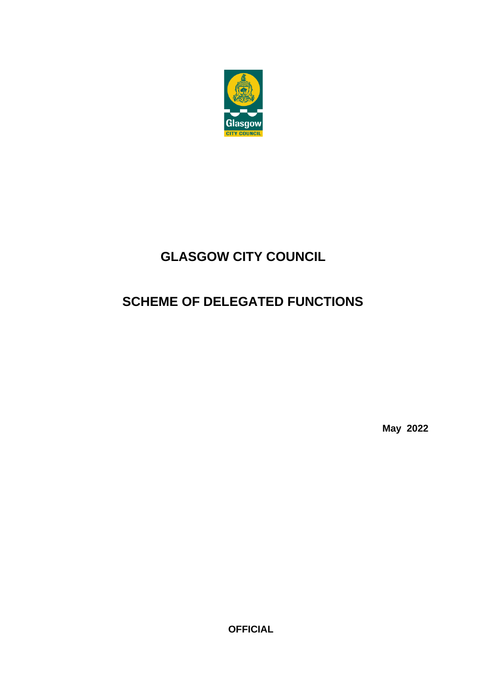

# **GLASGOW CITY COUNCIL**

# **SCHEME OF DELEGATED FUNCTIONS**

**May 2022**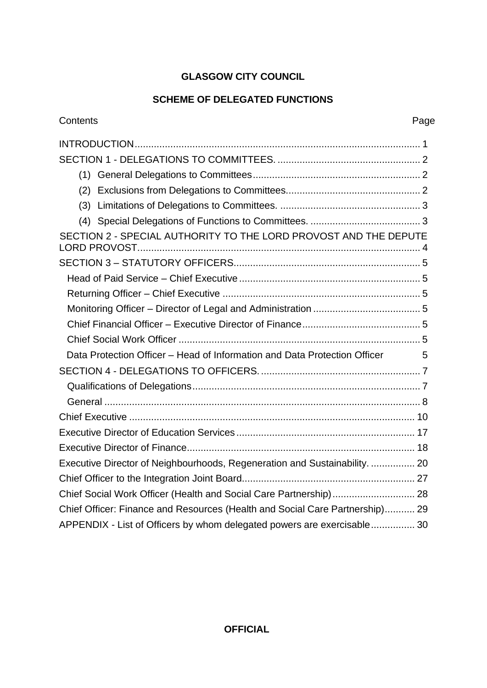## **GLASGOW CITY COUNCIL**

### **SCHEME OF DELEGATED FUNCTIONS**

| Contents<br>Page                                                               |  |
|--------------------------------------------------------------------------------|--|
|                                                                                |  |
|                                                                                |  |
|                                                                                |  |
| (2)                                                                            |  |
| (3)                                                                            |  |
| (4)                                                                            |  |
| SECTION 2 - SPECIAL AUTHORITY TO THE LORD PROVOST AND THE DEPUTE               |  |
|                                                                                |  |
|                                                                                |  |
|                                                                                |  |
|                                                                                |  |
|                                                                                |  |
|                                                                                |  |
| Data Protection Officer – Head of Information and Data Protection Officer<br>5 |  |
|                                                                                |  |
|                                                                                |  |
|                                                                                |  |
|                                                                                |  |
|                                                                                |  |
|                                                                                |  |
| Executive Director of Neighbourhoods, Regeneration and Sustainability.  20     |  |
|                                                                                |  |
| Chief Social Work Officer (Health and Social Care Partnership) 28              |  |
| Chief Officer: Finance and Resources (Health and Social Care Partnership) 29   |  |
| APPENDIX - List of Officers by whom delegated powers are exercisable 30        |  |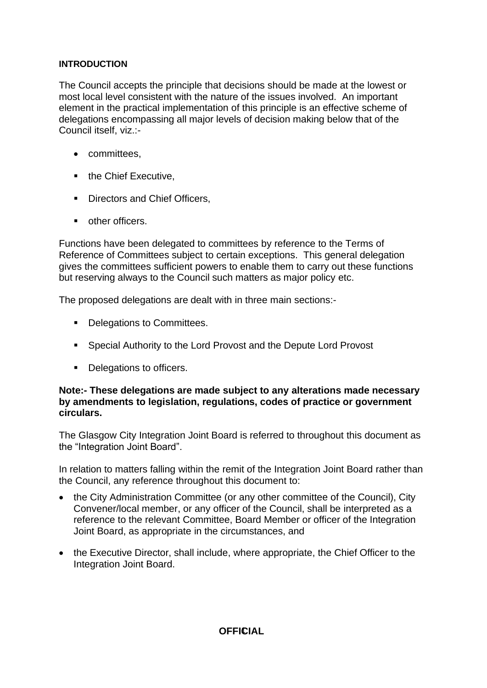#### **INTRODUCTION**

The Council accepts the principle that decisions should be made at the lowest or most local level consistent with the nature of the issues involved. An important element in the practical implementation of this principle is an effective scheme of delegations encompassing all major levels of decision making below that of the Council itself, viz.:-

- committees,
- the Chief Executive,
- Directors and Chief Officers,
- other officers.

Functions have been delegated to committees by reference to the Terms of Reference of Committees subject to certain exceptions. This general delegation gives the committees sufficient powers to enable them to carry out these functions but reserving always to the Council such matters as major policy etc.

The proposed delegations are dealt with in three main sections:-

- Delegations to Committees.
- Special Authority to the Lord Provost and the Depute Lord Provost
- Delegations to officers.

#### **Note:- These delegations are made subject to any alterations made necessary by amendments to legislation, regulations, codes of practice or government circulars.**

The Glasgow City Integration Joint Board is referred to throughout this document as the "Integration Joint Board".

In relation to matters falling within the remit of the Integration Joint Board rather than the Council, any reference throughout this document to:

- the City Administration Committee (or any other committee of the Council), City Convener/local member, or any officer of the Council, shall be interpreted as a reference to the relevant Committee, Board Member or officer of the Integration Joint Board, as appropriate in the circumstances, and
- the Executive Director, shall include, where appropriate, the Chief Officer to the Integration Joint Board.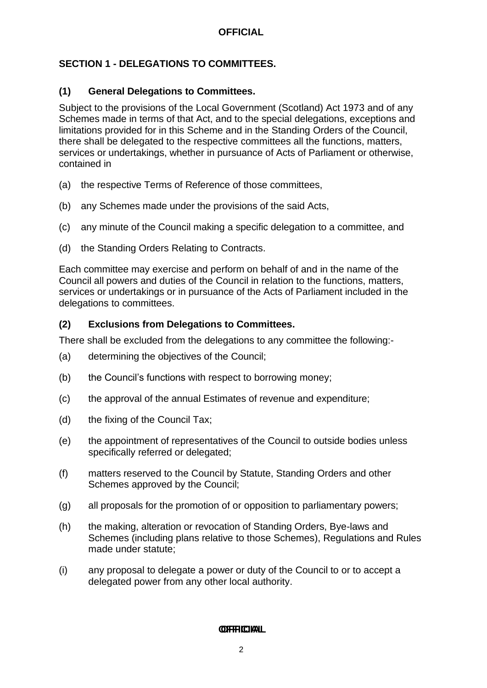### <span id="page-3-0"></span>**SECTION 1 - DELEGATIONS TO COMMITTEES.**

#### <span id="page-3-1"></span>**(1) General Delegations to Committees.**

Subject to the provisions of the Local Government (Scotland) Act 1973 and of any Schemes made in terms of that Act, and to the special delegations, exceptions and limitations provided for in this Scheme and in the Standing Orders of the Council, there shall be delegated to the respective committees all the functions, matters, services or undertakings, whether in pursuance of Acts of Parliament or otherwise, contained in

- (a) the respective Terms of Reference of those committees,
- (b) any Schemes made under the provisions of the said Acts,
- (c) any minute of the Council making a specific delegation to a committee, and
- (d) the Standing Orders Relating to Contracts.

Each committee may exercise and perform on behalf of and in the name of the Council all powers and duties of the Council in relation to the functions, matters, services or undertakings or in pursuance of the Acts of Parliament included in the delegations to committees.

#### <span id="page-3-2"></span>**(2) Exclusions from Delegations to Committees.**

There shall be excluded from the delegations to any committee the following:-

- (a) determining the objectives of the Council;
- (b) the Council's functions with respect to borrowing money;
- (c) the approval of the annual Estimates of revenue and expenditure;
- (d) the fixing of the Council Tax;
- (e) the appointment of representatives of the Council to outside bodies unless specifically referred or delegated;
- (f) matters reserved to the Council by Statute, Standing Orders and other Schemes approved by the Council;
- (g) all proposals for the promotion of or opposition to parliamentary powers;
- (h) the making, alteration or revocation of Standing Orders, Bye-laws and Schemes (including plans relative to those Schemes), Regulations and Rules made under statute;
- (i) any proposal to delegate a power or duty of the Council to or to accept a delegated power from any other local authority.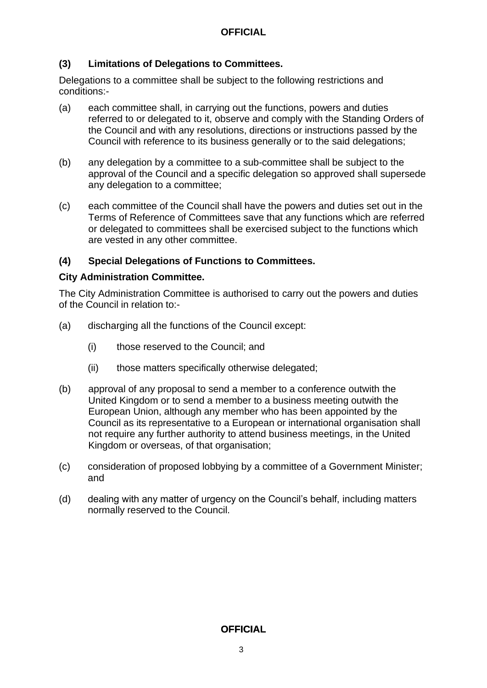#### <span id="page-4-0"></span>**(3) Limitations of Delegations to Committees.**

Delegations to a committee shall be subject to the following restrictions and conditions:-

- (a) each committee shall, in carrying out the functions, powers and duties referred to or delegated to it, observe and comply with the Standing Orders of the Council and with any resolutions, directions or instructions passed by the Council with reference to its business generally or to the said delegations;
- (b) any delegation by a committee to a sub-committee shall be subject to the approval of the Council and a specific delegation so approved shall supersede any delegation to a committee;
- (c) each committee of the Council shall have the powers and duties set out in the Terms of Reference of Committees save that any functions which are referred or delegated to committees shall be exercised subject to the functions which are vested in any other committee.

#### **(4) Special Delegations of Functions to Committees.**

#### **City Administration Committee.**

The City Administration Committee is authorised to carry out the powers and duties of the Council in relation to:-

- (a) discharging all the functions of the Council except:
	- (i) those reserved to the Council; and
	- (ii) those matters specifically otherwise delegated;
- (b) approval of any proposal to send a member to a conference outwith the United Kingdom or to send a member to a business meeting outwith the European Union, although any member who has been appointed by the Council as its representative to a European or international organisation shall not require any further authority to attend business meetings, in the United Kingdom or overseas, of that organisation;
- (c) consideration of proposed lobbying by a committee of a Government Minister; and
- (d) dealing with any matter of urgency on the Council's behalf, including matters normally reserved to the Council.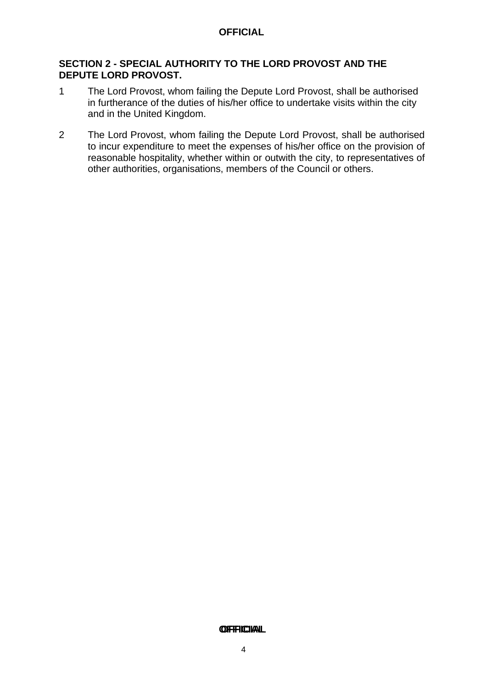#### <span id="page-5-0"></span>**SECTION 2 - SPECIAL AUTHORITY TO THE LORD PROVOST AND THE DEPUTE LORD PROVOST.**

- 1 The Lord Provost, whom failing the Depute Lord Provost, shall be authorised in furtherance of the duties of his/her office to undertake visits within the city and in the United Kingdom.
- 2 The Lord Provost, whom failing the Depute Lord Provost, shall be authorised to incur expenditure to meet the expenses of his/her office on the provision of reasonable hospitality, whether within or outwith the city, to representatives of other authorities, organisations, members of the Council or others.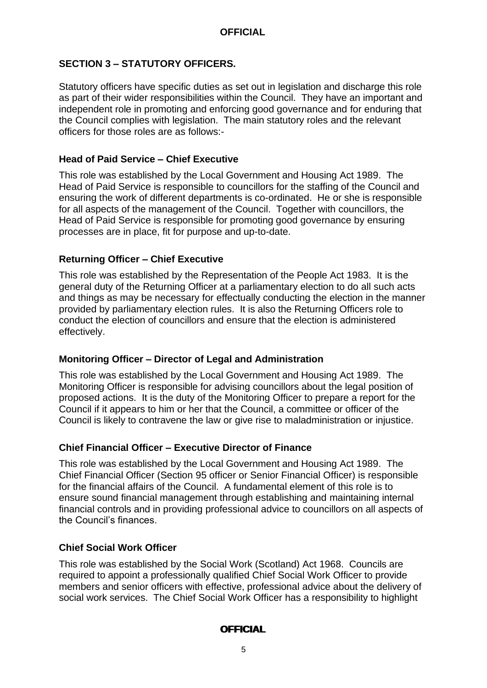### <span id="page-6-0"></span>**SECTION 3 – STATUTORY OFFICERS.**

Statutory officers have specific duties as set out in legislation and discharge this role as part of their wider responsibilities within the Council. They have an important and independent role in promoting and enforcing good governance and for enduring that the Council complies with legislation. The main statutory roles and the relevant officers for those roles are as follows:-

### <span id="page-6-1"></span>**Head of Paid Service – Chief Executive**

This role was established by the Local Government and Housing Act 1989. The Head of Paid Service is responsible to councillors for the staffing of the Council and ensuring the work of different departments is co-ordinated. He or she is responsible for all aspects of the management of the Council. Together with councillors, the Head of Paid Service is responsible for promoting good governance by ensuring processes are in place, fit for purpose and up-to-date.

### <span id="page-6-2"></span>**Returning Officer – Chief Executive**

This role was established by the Representation of the People Act 1983. It is the general duty of the Returning Officer at a parliamentary election to do all such acts and things as may be necessary for effectually conducting the election in the manner provided by parliamentary election rules. It is also the Returning Officers role to conduct the election of councillors and ensure that the election is administered effectively.

#### <span id="page-6-3"></span>**Monitoring Officer – Director of Legal and Administration**

This role was established by the Local Government and Housing Act 1989. The Monitoring Officer is responsible for advising councillors about the legal position of proposed actions. It is the duty of the Monitoring Officer to prepare a report for the Council if it appears to him or her that the Council, a committee or officer of the Council is likely to contravene the law or give rise to maladministration or injustice.

### <span id="page-6-4"></span>**Chief Financial Officer – Executive Director of Finance**

This role was established by the Local Government and Housing Act 1989. The Chief Financial Officer (Section 95 officer or Senior Financial Officer) is responsible for the financial affairs of the Council. A fundamental element of this role is to ensure sound financial management through establishing and maintaining internal financial controls and in providing professional advice to councillors on all aspects of the Council's finances.

### <span id="page-6-5"></span>**Chief Social Work Officer**

This role was established by the Social Work (Scotland) Act 1968. Councils are required to appoint a professionally qualified Chief Social Work Officer to provide members and senior officers with effective, professional advice about the delivery of social work services. The Chief Social Work Officer has a responsibility to highlight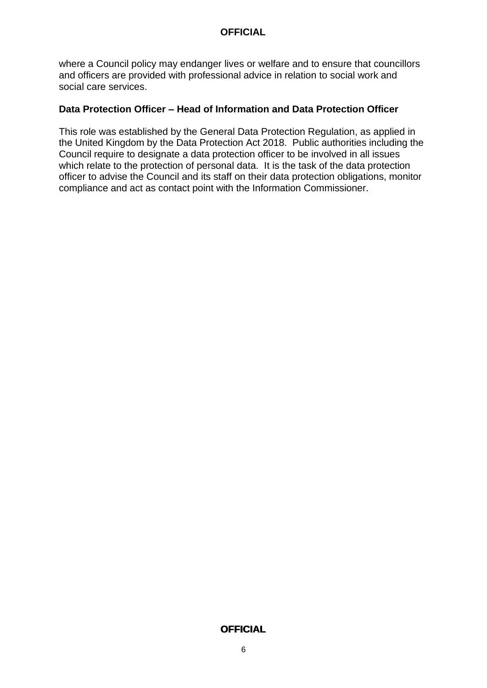where a Council policy may endanger lives or welfare and to ensure that councillors and officers are provided with professional advice in relation to social work and social care services.

#### <span id="page-7-0"></span>**Data Protection Officer – Head of Information and Data Protection Officer**

This role was established by the General Data Protection Regulation, as applied in the United Kingdom by the Data Protection Act 2018. Public authorities including the Council require to designate a data protection officer to be involved in all issues which relate to the protection of personal data. It is the task of the data protection officer to advise the Council and its staff on their data protection obligations, monitor compliance and act as contact point with the Information Commissioner.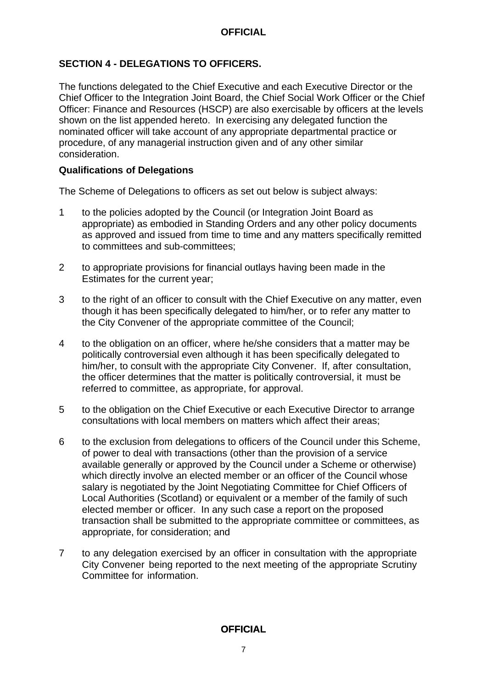### <span id="page-8-0"></span>**SECTION 4 - DELEGATIONS TO OFFICERS.**

The functions delegated to the Chief Executive and each Executive Director or the Chief Officer to the Integration Joint Board, the Chief Social Work Officer or the Chief Officer: Finance and Resources (HSCP) are also exercisable by officers at the levels shown on the list appended hereto. In exercising any delegated function the nominated officer will take account of any appropriate departmental practice or procedure, of any managerial instruction given and of any other similar consideration.

#### <span id="page-8-1"></span>**Qualifications of Delegations**

The Scheme of Delegations to officers as set out below is subject always:

- 1 to the policies adopted by the Council (or Integration Joint Board as appropriate) as embodied in Standing Orders and any other policy documents as approved and issued from time to time and any matters specifically remitted to committees and sub-committees;
- 2 to appropriate provisions for financial outlays having been made in the Estimates for the current year;
- 3 to the right of an officer to consult with the Chief Executive on any matter, even though it has been specifically delegated to him/her, or to refer any matter to the City Convener of the appropriate committee of the Council;
- 4 to the obligation on an officer, where he/she considers that a matter may be politically controversial even although it has been specifically delegated to him/her, to consult with the appropriate City Convener. If, after consultation, the officer determines that the matter is politically controversial, it must be referred to committee, as appropriate, for approval.
- 5 to the obligation on the Chief Executive or each Executive Director to arrange consultations with local members on matters which affect their areas;
- 6 to the exclusion from delegations to officers of the Council under this Scheme, of power to deal with transactions (other than the provision of a service available generally or approved by the Council under a Scheme or otherwise) which directly involve an elected member or an officer of the Council whose salary is negotiated by the Joint Negotiating Committee for Chief Officers of Local Authorities (Scotland) or equivalent or a member of the family of such elected member or officer. In any such case a report on the proposed transaction shall be submitted to the appropriate committee or committees, as appropriate, for consideration; and
- 7 to any delegation exercised by an officer in consultation with the appropriate City Convener being reported to the next meeting of the appropriate Scrutiny Committee for information.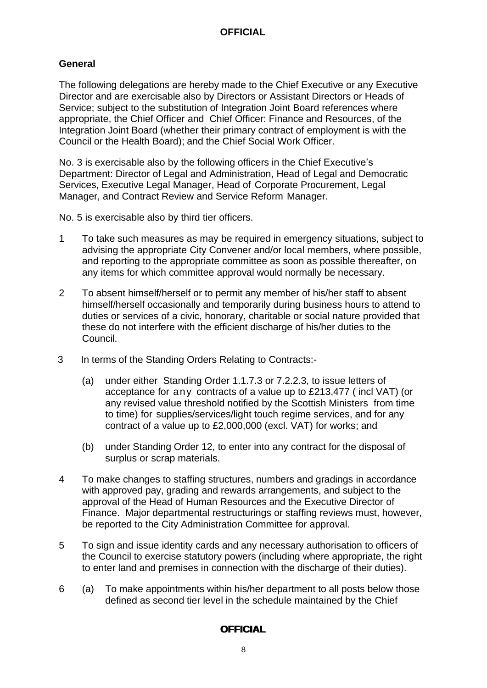### <span id="page-9-0"></span>**General**

The following delegations are hereby made to the Chief Executive or any Executive Director and are exercisable also by Directors or Assistant Directors or Heads of Service; subject to the substitution of Integration Joint Board references where appropriate, the Chief Officer and Chief Officer: Finance and Resources, of the Integration Joint Board (whether their primary contract of employment is with the Council or the Health Board); and the Chief Social Work Officer.

No. 3 is exercisable also by the following officers in the Chief Executive's Department: Director of Legal and Administration, Head of Legal and Democratic Services, Executive Legal Manager, Head of Corporate Procurement, Legal Manager, and Contract Review and Service Reform Manager.

No. 5 is exercisable also by third tier officers.

- 1 To take such measures as may be required in emergency situations, subject to advising the appropriate City Convener and/or local members, where possible, and reporting to the appropriate committee as soon as possible thereafter, on any items for which committee approval would normally be necessary.
- 2 To absent himself/herself or to permit any member of his/her staff to absent himself/herself occasionally and temporarily during business hours to attend to duties or services of a civic, honorary, charitable or social nature provided that these do not interfere with the efficient discharge of his/her duties to the Council.
- 3 In terms of the Standing Orders Relating to Contracts:-
	- (a) under either Standing Order 1.1.7.3 or 7.2.2.3, to issue letters of acceptance for any contracts of a value up to £213,477 ( incl VAT) (or any revised value threshold notified by the Scottish Ministers from time to time) for supplies/services/light touch regime services, and for any contract of a value up to £2,000,000 (excl. VAT) for works; and
	- (b) under Standing Order 12, to enter into any contract for the disposal of surplus or scrap materials.
- 4 To make changes to staffing structures, numbers and gradings in accordance with approved pay, grading and rewards arrangements, and subject to the approval of the Head of Human Resources and the Executive Director of Finance. Major departmental restructurings or staffing reviews must, however, be reported to the City Administration Committee for approval.
- 5 To sign and issue identity cards and any necessary authorisation to officers of the Council to exercise statutory powers (including where appropriate, the right to enter land and premises in connection with the discharge of their duties).
- 6 (a) To make appointments within his/her department to all posts below those defined as second tier level in the schedule maintained by the Chief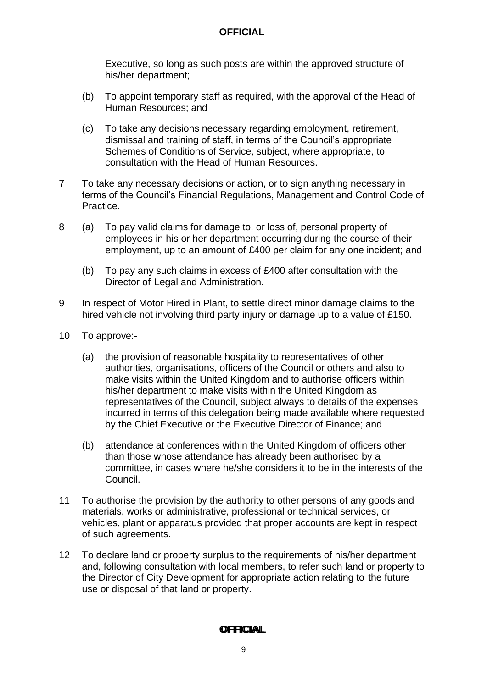Executive, so long as such posts are within the approved structure of his/her department;

- (b) To appoint temporary staff as required, with the approval of the Head of Human Resources; and
- (c) To take any decisions necessary regarding employment, retirement, dismissal and training of staff, in terms of the Council's appropriate Schemes of Conditions of Service, subject, where appropriate, to consultation with the Head of Human Resources.
- 7 To take any necessary decisions or action, or to sign anything necessary in terms of the Council's Financial Regulations, Management and Control Code of Practice.
- 8 (a) To pay valid claims for damage to, or loss of, personal property of employees in his or her department occurring during the course of their employment, up to an amount of £400 per claim for any one incident; and
	- (b) To pay any such claims in excess of £400 after consultation with the Director of Legal and Administration.
- 9 In respect of Motor Hired in Plant, to settle direct minor damage claims to the hired vehicle not involving third party injury or damage up to a value of £150.
- 10 To approve:-
	- (a) the provision of reasonable hospitality to representatives of other authorities, organisations, officers of the Council or others and also to make visits within the United Kingdom and to authorise officers within his/her department to make visits within the United Kingdom as representatives of the Council, subject always to details of the expenses incurred in terms of this delegation being made available where requested by the Chief Executive or the Executive Director of Finance; and
	- (b) attendance at conferences within the United Kingdom of officers other than those whose attendance has already been authorised by a committee, in cases where he/she considers it to be in the interests of the Council.
- 11 To authorise the provision by the authority to other persons of any goods and materials, works or administrative, professional or technical services, or vehicles, plant or apparatus provided that proper accounts are kept in respect of such agreements.
- 12 To declare land or property surplus to the requirements of his/her department and, following consultation with local members, to refer such land or property to the Director of City Development for appropriate action relating to the future use or disposal of that land or property.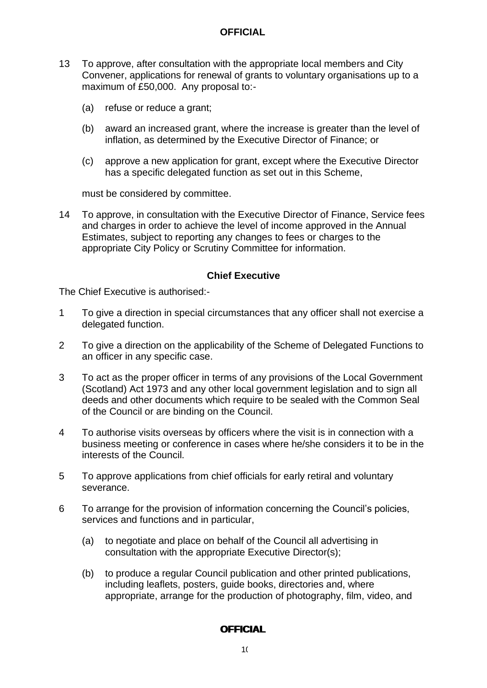- 13 To approve, after consultation with the appropriate local members and City Convener, applications for renewal of grants to voluntary organisations up to a maximum of £50,000. Any proposal to:-
	- (a) refuse or reduce a grant;
	- (b) award an increased grant, where the increase is greater than the level of inflation, as determined by the Executive Director of Finance; or
	- (c) approve a new application for grant, except where the Executive Director has a specific delegated function as set out in this Scheme,

must be considered by committee.

14 To approve, in consultation with the Executive Director of Finance, Service fees and charges in order to achieve the level of income approved in the Annual Estimates, subject to reporting any changes to fees or charges to the appropriate City Policy or Scrutiny Committee for information.

#### **Chief Executive**

<span id="page-11-0"></span>The Chief Executive is authorised:-

- 1 To give a direction in special circumstances that any officer shall not exercise a delegated function.
- 2 To give a direction on the applicability of the Scheme of Delegated Functions to an officer in any specific case.
- 3 To act as the proper officer in terms of any provisions of the Local Government (Scotland) Act 1973 and any other local government legislation and to sign all deeds and other documents which require to be sealed with the Common Seal of the Council or are binding on the Council.
- 4 To authorise visits overseas by officers where the visit is in connection with a business meeting or conference in cases where he/she considers it to be in the interests of the Council.
- 5 To approve applications from chief officials for early retiral and voluntary severance.
- 6 To arrange for the provision of information concerning the Council's policies, services and functions and in particular,
	- (a) to negotiate and place on behalf of the Council all advertising in consultation with the appropriate Executive Director(s);
	- (b) to produce a regular Council publication and other printed publications, including leaflets, posters, guide books, directories and, where appropriate, arrange for the production of photography, film, video, and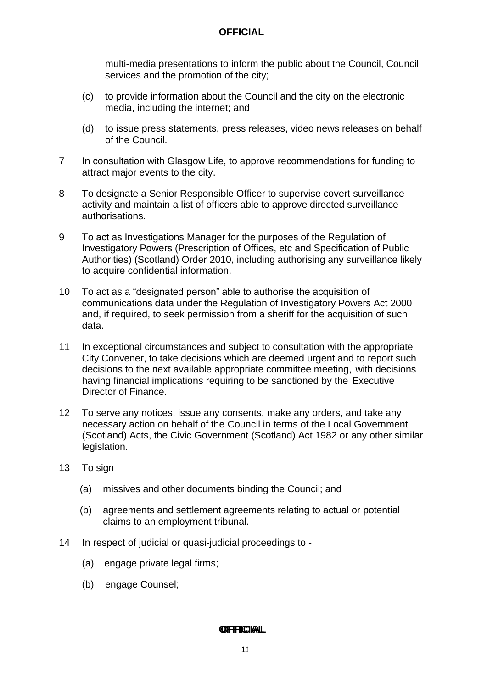multi-media presentations to inform the public about the Council, Council services and the promotion of the city;

- (c) to provide information about the Council and the city on the electronic media, including the internet; and
- (d) to issue press statements, press releases, video news releases on behalf of the Council.
- 7 In consultation with Glasgow Life, to approve recommendations for funding to attract major events to the city.
- 8 To designate a Senior Responsible Officer to supervise covert surveillance activity and maintain a list of officers able to approve directed surveillance authorisations.
- 9 To act as Investigations Manager for the purposes of the Regulation of Investigatory Powers (Prescription of Offices, etc and Specification of Public Authorities) (Scotland) Order 2010, including authorising any surveillance likely to acquire confidential information.
- 10 To act as a "designated person" able to authorise the acquisition of communications data under the Regulation of Investigatory Powers Act 2000 and, if required, to seek permission from a sheriff for the acquisition of such data.
- 11 In exceptional circumstances and subject to consultation with the appropriate City Convener, to take decisions which are deemed urgent and to report such decisions to the next available appropriate committee meeting, with decisions having financial implications requiring to be sanctioned by the Executive Director of Finance.
- 12 To serve any notices, issue any consents, make any orders, and take any necessary action on behalf of the Council in terms of the Local Government (Scotland) Acts, the Civic Government (Scotland) Act 1982 or any other similar legislation.
- 13 To sign
	- (a) missives and other documents binding the Council; and
	- (b) agreements and settlement agreements relating to actual or potential claims to an employment tribunal.
- 14 In respect of judicial or quasi-judicial proceedings to
	- (a) engage private legal firms;
	- (b) engage Counsel;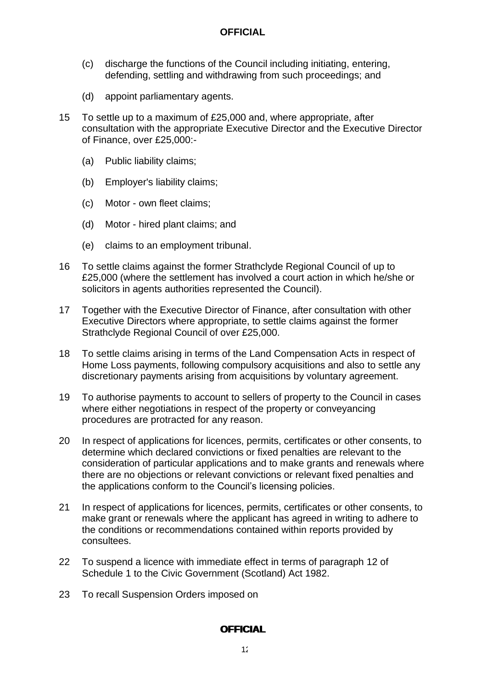- (c) discharge the functions of the Council including initiating, entering, defending, settling and withdrawing from such proceedings; and
- (d) appoint parliamentary agents.
- 15 To settle up to a maximum of £25,000 and, where appropriate, after consultation with the appropriate Executive Director and the Executive Director of Finance, over £25,000:-
	- (a) Public liability claims;
	- (b) Employer's liability claims;
	- (c) Motor own fleet claims;
	- (d) Motor hired plant claims; and
	- (e) claims to an employment tribunal.
- 16 To settle claims against the former Strathclyde Regional Council of up to £25,000 (where the settlement has involved a court action in which he/she or solicitors in agents authorities represented the Council).
- 17 Together with the Executive Director of Finance, after consultation with other Executive Directors where appropriate, to settle claims against the former Strathclyde Regional Council of over £25,000.
- 18 To settle claims arising in terms of the Land Compensation Acts in respect of Home Loss payments, following compulsory acquisitions and also to settle any discretionary payments arising from acquisitions by voluntary agreement.
- 19 To authorise payments to account to sellers of property to the Council in cases where either negotiations in respect of the property or conveyancing procedures are protracted for any reason.
- 20 In respect of applications for licences, permits, certificates or other consents, to determine which declared convictions or fixed penalties are relevant to the consideration of particular applications and to make grants and renewals where there are no objections or relevant convictions or relevant fixed penalties and the applications conform to the Council's licensing policies.
- 21 In respect of applications for licences, permits, certificates or other consents, to make grant or renewals where the applicant has agreed in writing to adhere to the conditions or recommendations contained within reports provided by consultees.
- 22 To suspend a licence with immediate effect in terms of paragraph 12 of Schedule 1 to the Civic Government (Scotland) Act 1982.
- 23 To recall Suspension Orders imposed on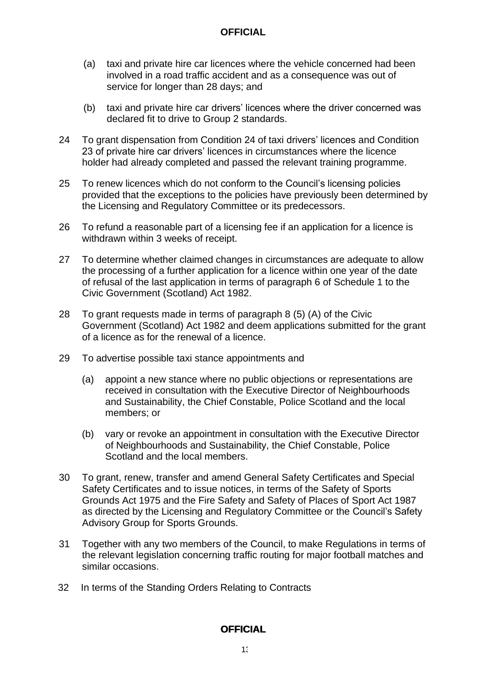- (a) taxi and private hire car licences where the vehicle concerned had been involved in a road traffic accident and as a consequence was out of service for longer than 28 days; and
- (b) taxi and private hire car drivers' licences where the driver concerned was declared fit to drive to Group 2 standards.
- 24 To grant dispensation from Condition 24 of taxi drivers' licences and Condition 23 of private hire car drivers' licences in circumstances where the licence holder had already completed and passed the relevant training programme.
- 25 To renew licences which do not conform to the Council's licensing policies provided that the exceptions to the policies have previously been determined by the Licensing and Regulatory Committee or its predecessors.
- 26 To refund a reasonable part of a licensing fee if an application for a licence is withdrawn within 3 weeks of receipt.
- 27 To determine whether claimed changes in circumstances are adequate to allow the processing of a further application for a licence within one year of the date of refusal of the last application in terms of paragraph 6 of Schedule 1 to the Civic Government (Scotland) Act 1982.
- 28 To grant requests made in terms of paragraph 8 (5) (A) of the Civic Government (Scotland) Act 1982 and deem applications submitted for the grant of a licence as for the renewal of a licence.
- 29 To advertise possible taxi stance appointments and
	- (a) appoint a new stance where no public objections or representations are received in consultation with the Executive Director of Neighbourhoods and Sustainability, the Chief Constable, Police Scotland and the local members; or
	- (b) vary or revoke an appointment in consultation with the Executive Director of Neighbourhoods and Sustainability, the Chief Constable, Police Scotland and the local members.
- 30 To grant, renew, transfer and amend General Safety Certificates and Special Safety Certificates and to issue notices, in terms of the Safety of Sports Grounds Act 1975 and the Fire Safety and Safety of Places of Sport Act 1987 as directed by the Licensing and Regulatory Committee or the Council's Safety Advisory Group for Sports Grounds.
- 31 Together with any two members of the Council, to make Regulations in terms of the relevant legislation concerning traffic routing for major football matches and similar occasions.
- 32 In terms of the Standing Orders Relating to Contracts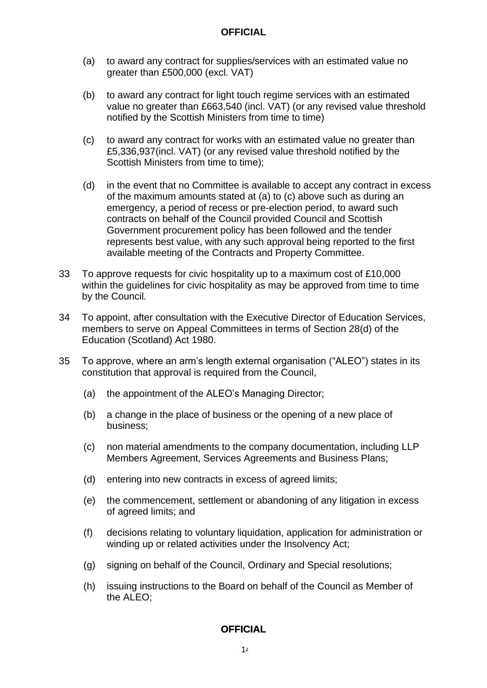- (a) to award any contract for supplies/services with an estimated value no greater than £500,000 (excl. VAT)
- (b) to award any contract for light touch regime services with an estimated value no greater than £663,540 (incl. VAT) (or any revised value threshold notified by the Scottish Ministers from time to time)
- (c) to award any contract for works with an estimated value no greater than £5,336,937(incl. VAT) (or any revised value threshold notified by the Scottish Ministers from time to time);
- (d) in the event that no Committee is available to accept any contract in excess of the maximum amounts stated at (a) to (c) above such as during an emergency, a period of recess or pre-election period, to award such contracts on behalf of the Council provided Council and Scottish Government procurement policy has been followed and the tender represents best value, with any such approval being reported to the first available meeting of the Contracts and Property Committee.
- 33 To approve requests for civic hospitality up to a maximum cost of £10,000 within the guidelines for civic hospitality as may be approved from time to time by the Council.
- 34 To appoint, after consultation with the Executive Director of Education Services, members to serve on Appeal Committees in terms of Section 28(d) of the Education (Scotland) Act 1980.
- 35 To approve, where an arm's length external organisation ("ALEO") states in its constitution that approval is required from the Council,
	- (a) the appointment of the ALEO's Managing Director;
	- (b) a change in the place of business or the opening of a new place of business;
	- (c) non material amendments to the company documentation, including LLP Members Agreement, Services Agreements and Business Plans;
	- (d) entering into new contracts in excess of agreed limits;
	- (e) the commencement, settlement or abandoning of any litigation in excess of agreed limits; and
	- (f) decisions relating to voluntary liquidation, application for administration or winding up or related activities under the Insolvency Act;
	- (g) signing on behalf of the Council, Ordinary and Special resolutions;
	- (h) issuing instructions to the Board on behalf of the Council as Member of the ALEO;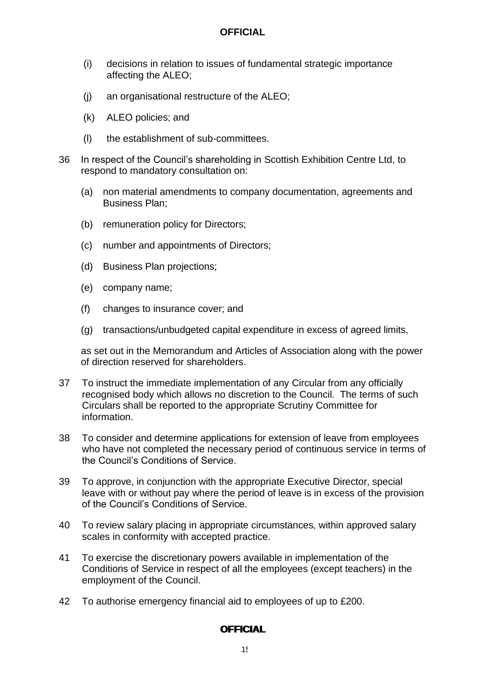- (i) decisions in relation to issues of fundamental strategic importance affecting the ALEO;
- (j) an organisational restructure of the ALEO;
- (k) ALEO policies; and
- (l) the establishment of sub-committees.
- 36 In respect of the Council's shareholding in Scottish Exhibition Centre Ltd, to respond to mandatory consultation on:
	- (a) non material amendments to company documentation, agreements and Business Plan;
	- (b) remuneration policy for Directors;
	- (c) number and appointments of Directors;
	- (d) Business Plan projections;
	- (e) company name;
	- (f) changes to insurance cover; and
	- (g) transactions/unbudgeted capital expenditure in excess of agreed limits,

as set out in the Memorandum and Articles of Association along with the power of direction reserved for shareholders.

- 37 To instruct the immediate implementation of any Circular from any officially recognised body which allows no discretion to the Council. The terms of such Circulars shall be reported to the appropriate Scrutiny Committee for information.
- 38 To consider and determine applications for extension of leave from employees who have not completed the necessary period of continuous service in terms of the Council's Conditions of Service.
- 39 To approve, in conjunction with the appropriate Executive Director, special leave with or without pay where the period of leave is in excess of the provision of the Council's Conditions of Service.
- 40 To review salary placing in appropriate circumstances, within approved salary scales in conformity with accepted practice.
- 41 To exercise the discretionary powers available in implementation of the Conditions of Service in respect of all the employees (except teachers) in the employment of the Council.
- 42 To authorise emergency financial aid to employees of up to £200.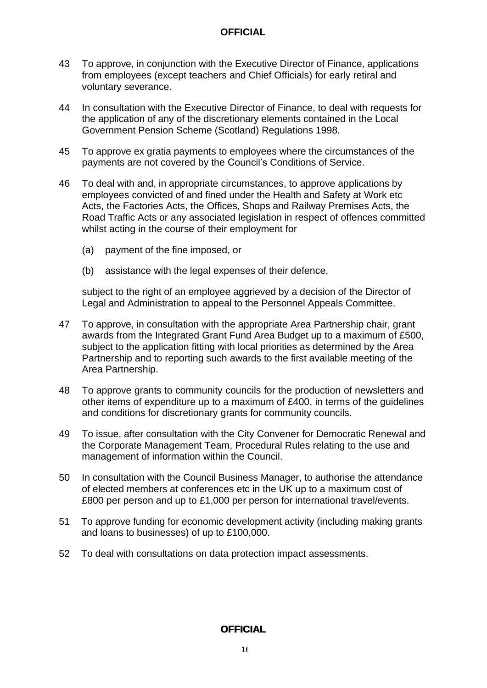- 43 To approve, in conjunction with the Executive Director of Finance, applications from employees (except teachers and Chief Officials) for early retiral and voluntary severance.
- 44 In consultation with the Executive Director of Finance, to deal with requests for the application of any of the discretionary elements contained in the Local Government Pension Scheme (Scotland) Regulations 1998.
- 45 To approve ex gratia payments to employees where the circumstances of the payments are not covered by the Council's Conditions of Service.
- 46 To deal with and, in appropriate circumstances, to approve applications by employees convicted of and fined under the Health and Safety at Work etc Acts, the Factories Acts, the Offices, Shops and Railway Premises Acts, the Road Traffic Acts or any associated legislation in respect of offences committed whilst acting in the course of their employment for
	- (a) payment of the fine imposed, or
	- (b) assistance with the legal expenses of their defence,

subject to the right of an employee aggrieved by a decision of the Director of Legal and Administration to appeal to the Personnel Appeals Committee.

- 47 To approve, in consultation with the appropriate Area Partnership chair, grant awards from the Integrated Grant Fund Area Budget up to a maximum of £500, subject to the application fitting with local priorities as determined by the Area Partnership and to reporting such awards to the first available meeting of the Area Partnership.
- 48 To approve grants to community councils for the production of newsletters and other items of expenditure up to a maximum of £400, in terms of the guidelines and conditions for discretionary grants for community councils.
- 49 To issue, after consultation with the City Convener for Democratic Renewal and the Corporate Management Team, Procedural Rules relating to the use and management of information within the Council.
- 50 In consultation with the Council Business Manager, to authorise the attendance of elected members at conferences etc in the UK up to a maximum cost of £800 per person and up to £1,000 per person for international travel/events.
- 51 To approve funding for economic development activity (including making grants and loans to businesses) of up to £100,000.
- 52 To deal with consultations on data protection impact assessments.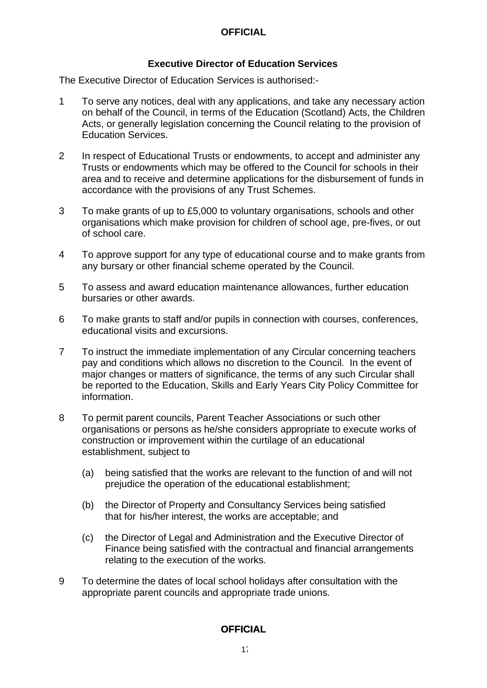### **Executive Director of Education Services**

<span id="page-18-0"></span>The Executive Director of Education Services is authorised:-

- 1 To serve any notices, deal with any applications, and take any necessary action on behalf of the Council, in terms of the Education (Scotland) Acts, the Children Acts, or generally legislation concerning the Council relating to the provision of Education Services.
- 2 In respect of Educational Trusts or endowments, to accept and administer any Trusts or endowments which may be offered to the Council for schools in their area and to receive and determine applications for the disbursement of funds in accordance with the provisions of any Trust Schemes.
- 3 To make grants of up to £5,000 to voluntary organisations, schools and other organisations which make provision for children of school age, pre-fives, or out of school care.
- 4 To approve support for any type of educational course and to make grants from any bursary or other financial scheme operated by the Council.
- 5 To assess and award education maintenance allowances, further education bursaries or other awards.
- 6 To make grants to staff and/or pupils in connection with courses, conferences, educational visits and excursions.
- 7 To instruct the immediate implementation of any Circular concerning teachers pay and conditions which allows no discretion to the Council. In the event of major changes or matters of significance, the terms of any such Circular shall be reported to the Education, Skills and Early Years City Policy Committee for information.
- 8 To permit parent councils, Parent Teacher Associations or such other organisations or persons as he/she considers appropriate to execute works of construction or improvement within the curtilage of an educational establishment, subject to
	- (a) being satisfied that the works are relevant to the function of and will not prejudice the operation of the educational establishment;
	- (b) the Director of Property and Consultancy Services being satisfied that for his/her interest, the works are acceptable; and
	- (c) the Director of Legal and Administration and the Executive Director of Finance being satisfied with the contractual and financial arrangements relating to the execution of the works.
- 9 To determine the dates of local school holidays after consultation with the appropriate parent councils and appropriate trade unions.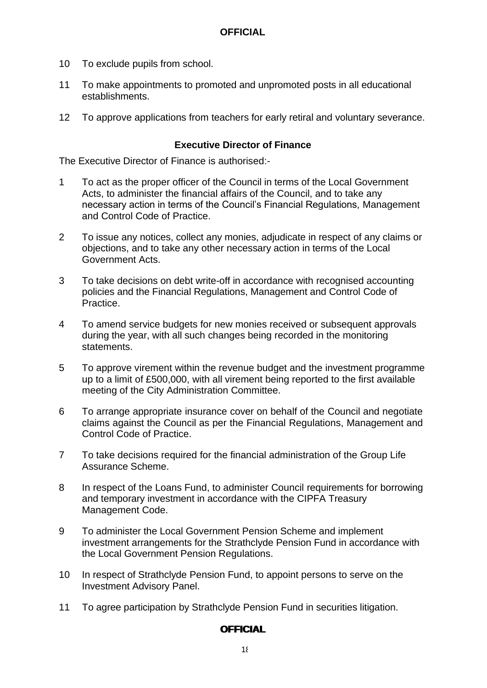- 10 To exclude pupils from school.
- 11 To make appointments to promoted and unpromoted posts in all educational establishments.
- 12 To approve applications from teachers for early retiral and voluntary severance.

#### **Executive Director of Finance**

<span id="page-19-0"></span>The Executive Director of Finance is authorised:-

- 1 To act as the proper officer of the Council in terms of the Local Government Acts, to administer the financial affairs of the Council, and to take any necessary action in terms of the Council's Financial Regulations, Management and Control Code of Practice.
- 2 To issue any notices, collect any monies, adjudicate in respect of any claims or objections, and to take any other necessary action in terms of the Local Government Acts.
- 3 To take decisions on debt write-off in accordance with recognised accounting policies and the Financial Regulations, Management and Control Code of Practice.
- 4 To amend service budgets for new monies received or subsequent approvals during the year, with all such changes being recorded in the monitoring statements.
- 5 To approve virement within the revenue budget and the investment programme up to a limit of £500,000, with all virement being reported to the first available meeting of the City Administration Committee.
- 6 To arrange appropriate insurance cover on behalf of the Council and negotiate claims against the Council as per the Financial Regulations, Management and Control Code of Practice.
- 7 To take decisions required for the financial administration of the Group Life Assurance Scheme.
- 8 In respect of the Loans Fund, to administer Council requirements for borrowing and temporary investment in accordance with the CIPFA Treasury Management Code.
- 9 To administer the Local Government Pension Scheme and implement investment arrangements for the Strathclyde Pension Fund in accordance with the Local Government Pension Regulations.
- 10 In respect of Strathclyde Pension Fund, to appoint persons to serve on the Investment Advisory Panel.
- 11 To agree participation by Strathclyde Pension Fund in securities litigation.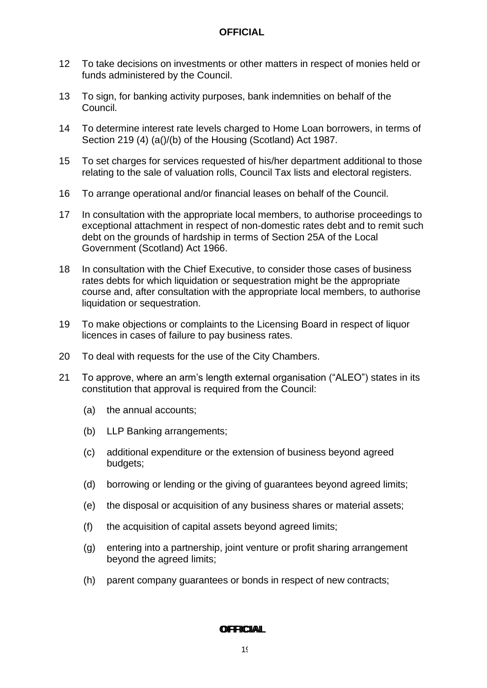- 12 To take decisions on investments or other matters in respect of monies held or funds administered by the Council.
- 13 To sign, for banking activity purposes, bank indemnities on behalf of the Council.
- 14 To determine interest rate levels charged to Home Loan borrowers, in terms of Section 219 (4) (a()/(b) of the Housing (Scotland) Act 1987.
- 15 To set charges for services requested of his/her department additional to those relating to the sale of valuation rolls, Council Tax lists and electoral registers.
- 16 To arrange operational and/or financial leases on behalf of the Council.
- 17 In consultation with the appropriate local members, to authorise proceedings to exceptional attachment in respect of non-domestic rates debt and to remit such debt on the grounds of hardship in terms of Section 25A of the Local Government (Scotland) Act 1966.
- 18 In consultation with the Chief Executive, to consider those cases of business rates debts for which liquidation or sequestration might be the appropriate course and, after consultation with the appropriate local members, to authorise liquidation or sequestration.
- 19 To make objections or complaints to the Licensing Board in respect of liquor licences in cases of failure to pay business rates.
- 20 To deal with requests for the use of the City Chambers.
- 21 To approve, where an arm's length external organisation ("ALEO") states in its constitution that approval is required from the Council:
	- (a) the annual accounts;
	- (b) LLP Banking arrangements;
	- (c) additional expenditure or the extension of business beyond agreed budgets;
	- (d) borrowing or lending or the giving of guarantees beyond agreed limits;
	- (e) the disposal or acquisition of any business shares or material assets;
	- (f) the acquisition of capital assets beyond agreed limits;
	- (g) entering into a partnership, joint venture or profit sharing arrangement beyond the agreed limits;
	- (h) parent company guarantees or bonds in respect of new contracts;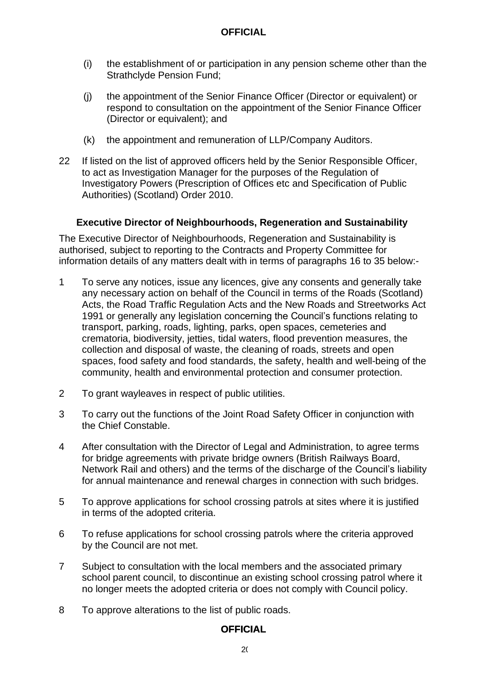- (i) the establishment of or participation in any pension scheme other than the Strathclyde Pension Fund;
- (j) the appointment of the Senior Finance Officer (Director or equivalent) or respond to consultation on the appointment of the Senior Finance Officer (Director or equivalent); and
- (k) the appointment and remuneration of LLP/Company Auditors.
- 22 If listed on the list of approved officers held by the Senior Responsible Officer, to act as Investigation Manager for the purposes of the Regulation of Investigatory Powers (Prescription of Offices etc and Specification of Public Authorities) (Scotland) Order 2010.

### **Executive Director of Neighbourhoods, Regeneration and Sustainability**

<span id="page-21-0"></span>The Executive Director of Neighbourhoods, Regeneration and Sustainability is authorised, subject to reporting to the Contracts and Property Committee for information details of any matters dealt with in terms of paragraphs 16 to 35 below:-

- 1 To serve any notices, issue any licences, give any consents and generally take any necessary action on behalf of the Council in terms of the Roads (Scotland) Acts, the Road Traffic Regulation Acts and the New Roads and Streetworks Act 1991 or generally any legislation concerning the Council's functions relating to transport, parking, roads, lighting, parks, open spaces, cemeteries and crematoria, biodiversity, jetties, tidal waters, flood prevention measures, the collection and disposal of waste, the cleaning of roads, streets and open spaces, food safety and food standards, the safety, health and well-being of the community, health and environmental protection and consumer protection.
- 2 To grant wayleaves in respect of public utilities.
- 3 To carry out the functions of the Joint Road Safety Officer in conjunction with the Chief Constable.
- 4 After consultation with the Director of Legal and Administration, to agree terms for bridge agreements with private bridge owners (British Railways Board, Network Rail and others) and the terms of the discharge of the Council's liability for annual maintenance and renewal charges in connection with such bridges.
- 5 To approve applications for school crossing patrols at sites where it is justified in terms of the adopted criteria.
- 6 To refuse applications for school crossing patrols where the criteria approved by the Council are not met.
- 7 Subject to consultation with the local members and the associated primary school parent council, to discontinue an existing school crossing patrol where it no longer meets the adopted criteria or does not comply with Council policy.
- 8 To approve alterations to the list of public roads.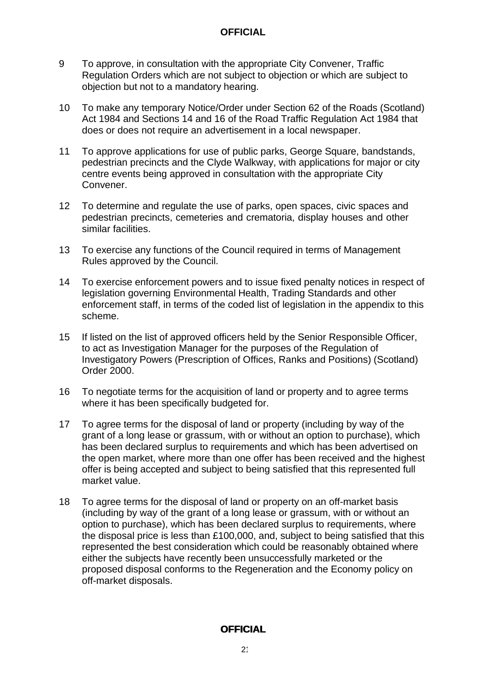- 9 To approve, in consultation with the appropriate City Convener, Traffic Regulation Orders which are not subject to objection or which are subject to objection but not to a mandatory hearing.
- 10 To make any temporary Notice/Order under Section 62 of the Roads (Scotland) Act 1984 and Sections 14 and 16 of the Road Traffic Regulation Act 1984 that does or does not require an advertisement in a local newspaper.
- 11 To approve applications for use of public parks, George Square, bandstands, pedestrian precincts and the Clyde Walkway, with applications for major or city centre events being approved in consultation with the appropriate City Convener.
- 12 To determine and regulate the use of parks, open spaces, civic spaces and pedestrian precincts, cemeteries and crematoria, display houses and other similar facilities.
- 13 To exercise any functions of the Council required in terms of Management Rules approved by the Council.
- 14 To exercise enforcement powers and to issue fixed penalty notices in respect of legislation governing Environmental Health, Trading Standards and other enforcement staff, in terms of the coded list of legislation in the appendix to this scheme.
- 15 If listed on the list of approved officers held by the Senior Responsible Officer, to act as Investigation Manager for the purposes of the Regulation of Investigatory Powers (Prescription of Offices, Ranks and Positions) (Scotland) Order 2000.
- 16 To negotiate terms for the acquisition of land or property and to agree terms where it has been specifically budgeted for.
- 17 To agree terms for the disposal of land or property (including by way of the grant of a long lease or grassum, with or without an option to purchase), which has been declared surplus to requirements and which has been advertised on the open market, where more than one offer has been received and the highest offer is being accepted and subject to being satisfied that this represented full market value.
- 18 To agree terms for the disposal of land or property on an off-market basis (including by way of the grant of a long lease or grassum, with or without an option to purchase), which has been declared surplus to requirements, where the disposal price is less than £100,000, and, subject to being satisfied that this represented the best consideration which could be reasonably obtained where either the subjects have recently been unsuccessfully marketed or the proposed disposal conforms to the Regeneration and the Economy policy on off-market disposals.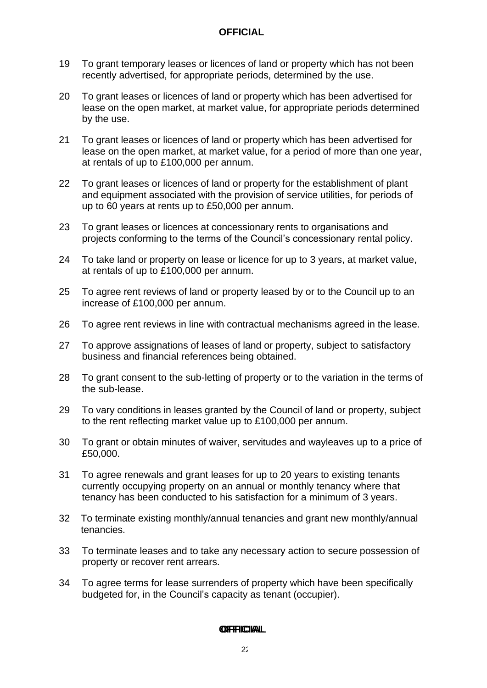- 19 To grant temporary leases or licences of land or property which has not been recently advertised, for appropriate periods, determined by the use.
- 20 To grant leases or licences of land or property which has been advertised for lease on the open market, at market value, for appropriate periods determined by the use.
- 21 To grant leases or licences of land or property which has been advertised for lease on the open market, at market value, for a period of more than one year, at rentals of up to £100,000 per annum.
- 22 To grant leases or licences of land or property for the establishment of plant and equipment associated with the provision of service utilities, for periods of up to 60 years at rents up to £50,000 per annum.
- 23 To grant leases or licences at concessionary rents to organisations and projects conforming to the terms of the Council's concessionary rental policy.
- 24 To take land or property on lease or licence for up to 3 years, at market value, at rentals of up to £100,000 per annum.
- 25 To agree rent reviews of land or property leased by or to the Council up to an increase of £100,000 per annum.
- 26 To agree rent reviews in line with contractual mechanisms agreed in the lease.
- 27 To approve assignations of leases of land or property, subject to satisfactory business and financial references being obtained.
- 28 To grant consent to the sub-letting of property or to the variation in the terms of the sub-lease.
- 29 To vary conditions in leases granted by the Council of land or property, subject to the rent reflecting market value up to £100,000 per annum.
- 30 To grant or obtain minutes of waiver, servitudes and wayleaves up to a price of £50,000.
- 31 To agree renewals and grant leases for up to 20 years to existing tenants currently occupying property on an annual or monthly tenancy where that tenancy has been conducted to his satisfaction for a minimum of 3 years.
- 32 To terminate existing monthly/annual tenancies and grant new monthly/annual tenancies.
- 33 To terminate leases and to take any necessary action to secure possession of property or recover rent arrears.
- 34 To agree terms for lease surrenders of property which have been specifically budgeted for, in the Council's capacity as tenant (occupier).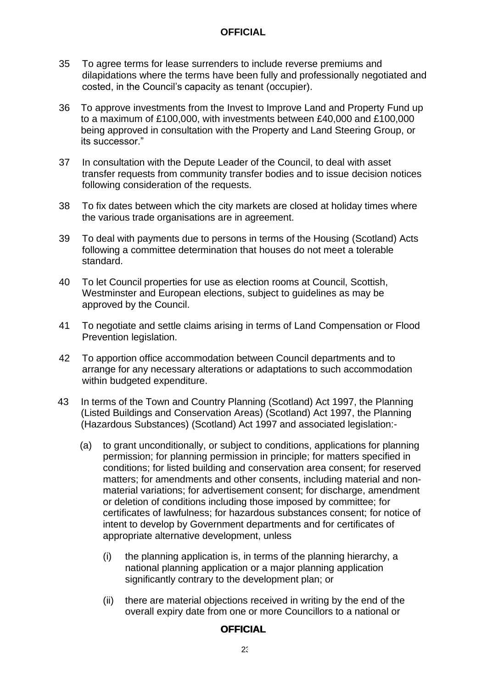- 35 To agree terms for lease surrenders to include reverse premiums and dilapidations where the terms have been fully and professionally negotiated and costed, in the Council's capacity as tenant (occupier).
- 36 To approve investments from the Invest to Improve Land and Property Fund up to a maximum of £100,000, with investments between £40,000 and £100,000 being approved in consultation with the Property and Land Steering Group, or its successor."
- 37 In consultation with the Depute Leader of the Council, to deal with asset transfer requests from community transfer bodies and to issue decision notices following consideration of the requests.
- 38 To fix dates between which the city markets are closed at holiday times where the various trade organisations are in agreement.
- 39 To deal with payments due to persons in terms of the Housing (Scotland) Acts following a committee determination that houses do not meet a tolerable standard.
- 40 To let Council properties for use as election rooms at Council, Scottish, Westminster and European elections, subject to guidelines as may be approved by the Council.
- 41 To negotiate and settle claims arising in terms of Land Compensation or Flood Prevention legislation.
- 42 To apportion office accommodation between Council departments and to arrange for any necessary alterations or adaptations to such accommodation within budgeted expenditure.
- 43 In terms of the Town and Country Planning (Scotland) Act 1997, the Planning (Listed Buildings and Conservation Areas) (Scotland) Act 1997, the Planning (Hazardous Substances) (Scotland) Act 1997 and associated legislation:-
	- (a) to grant unconditionally, or subject to conditions, applications for planning permission; for planning permission in principle; for matters specified in conditions; for listed building and conservation area consent; for reserved matters; for amendments and other consents, including material and nonmaterial variations; for advertisement consent; for discharge, amendment or deletion of conditions including those imposed by committee; for certificates of lawfulness; for hazardous substances consent; for notice of intent to develop by Government departments and for certificates of appropriate alternative development, unless
		- (i) the planning application is, in terms of the planning hierarchy, a national planning application or a major planning application significantly contrary to the development plan; or
		- (ii) there are material objections received in writing by the end of the overall expiry date from one or more Councillors to a national or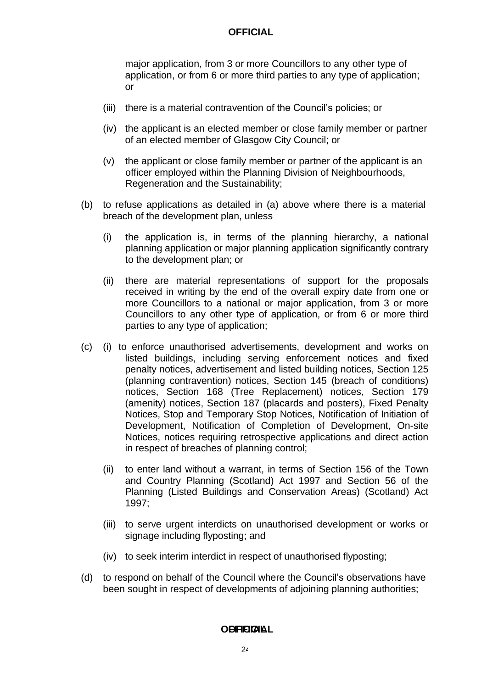major application, from 3 or more Councillors to any other type of application, or from 6 or more third parties to any type of application; or

- (iii) there is a material contravention of the Council's policies; or
- (iv) the applicant is an elected member or close family member or partner of an elected member of Glasgow City Council; or
- (v) the applicant or close family member or partner of the applicant is an officer employed within the Planning Division of Neighbourhoods, Regeneration and the Sustainability;
- (b) to refuse applications as detailed in (a) above where there is a material breach of the development plan, unless
	- (i) the application is, in terms of the planning hierarchy, a national planning application or major planning application significantly contrary to the development plan; or
	- (ii) there are material representations of support for the proposals received in writing by the end of the overall expiry date from one or more Councillors to a national or major application, from 3 or more Councillors to any other type of application, or from 6 or more third parties to any type of application;
- (c) (i) to enforce unauthorised advertisements, development and works on listed buildings, including serving enforcement notices and fixed penalty notices, advertisement and listed building notices, Section 125 (planning contravention) notices, Section 145 (breach of conditions) notices, Section 168 (Tree Replacement) notices, Section 179 (amenity) notices, Section 187 (placards and posters), Fixed Penalty Notices, Stop and Temporary Stop Notices, Notification of Initiation of Development, Notification of Completion of Development, On-site Notices, notices requiring retrospective applications and direct action in respect of breaches of planning control;
	- (ii) to enter land without a warrant, in terms of Section 156 of the Town and Country Planning (Scotland) Act 1997 and Section 56 of the Planning (Listed Buildings and Conservation Areas) (Scotland) Act 1997;
	- (iii) to serve urgent interdicts on unauthorised development or works or signage including flyposting; and
	- (iv) to seek interim interdict in respect of unauthorised flyposting;
- (d) to respond on behalf of the Council where the Council's observations have been sought in respect of developments of adjoining planning authorities;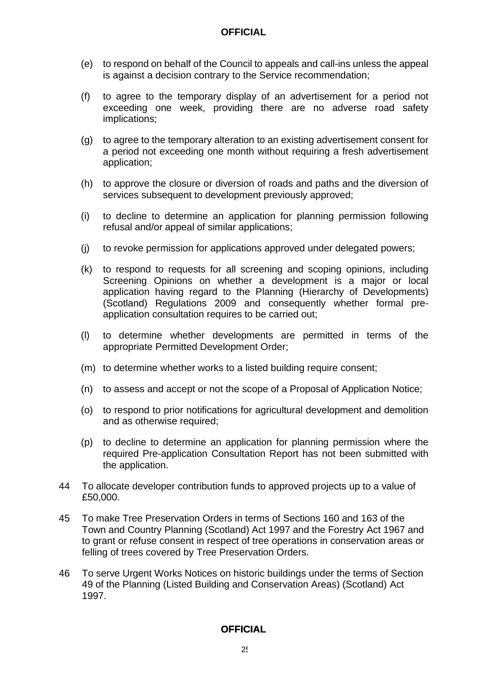- (e) to respond on behalf of the Council to appeals and call-ins unless the appeal is against a decision contrary to the Service recommendation;
- (f) to agree to the temporary display of an advertisement for a period not exceeding one week, providing there are no adverse road safety implications;
- (g) to agree to the temporary alteration to an existing advertisement consent for a period not exceeding one month without requiring a fresh advertisement application;
- (h) to approve the closure or diversion of roads and paths and the diversion of services subsequent to development previously approved;
- (i) to decline to determine an application for planning permission following refusal and/or appeal of similar applications;
- (j) to revoke permission for applications approved under delegated powers;
- (k) to respond to requests for all screening and scoping opinions, including Screening Opinions on whether a development is a major or local application having regard to the Planning (Hierarchy of Developments) (Scotland) Regulations 2009 and consequently whether formal preapplication consultation requires to be carried out;
- (l) to determine whether developments are permitted in terms of the appropriate Permitted Development Order;
- (m) to determine whether works to a listed building require consent;
- (n) to assess and accept or not the scope of a Proposal of Application Notice;
- (o) to respond to prior notifications for agricultural development and demolition and as otherwise required;
- (p) to decline to determine an application for planning permission where the required Pre-application Consultation Report has not been submitted with the application.
- 44 To allocate developer contribution funds to approved projects up to a value of £50,000.
- 45 To make Tree Preservation Orders in terms of Sections 160 and 163 of the Town and Country Planning (Scotland) Act 1997 and the Forestry Act 1967 and to grant or refuse consent in respect of tree operations in conservation areas or felling of trees covered by Tree Preservation Orders.
- 46 To serve Urgent Works Notices on historic buildings under the terms of Section 49 of the Planning (Listed Building and Conservation Areas) (Scotland) Act 1997.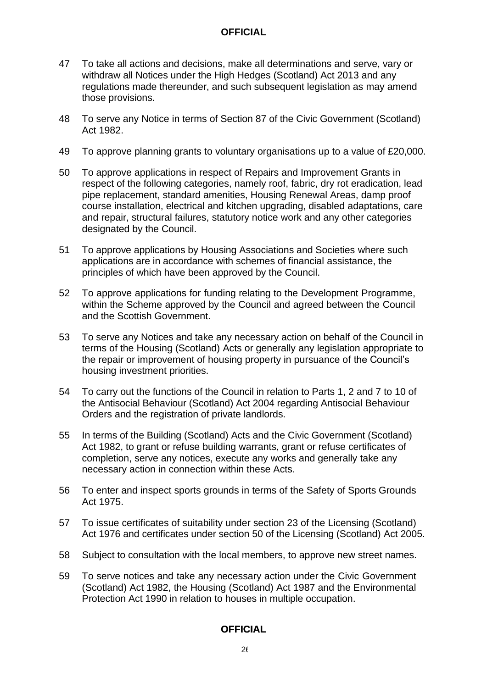- 47 To take all actions and decisions, make all determinations and serve, vary or withdraw all Notices under the High Hedges (Scotland) Act 2013 and any regulations made thereunder, and such subsequent legislation as may amend those provisions.
- 48 To serve any Notice in terms of Section 87 of the Civic Government (Scotland) Act 1982.
- 49 To approve planning grants to voluntary organisations up to a value of £20,000.
- 50 To approve applications in respect of Repairs and Improvement Grants in respect of the following categories, namely roof, fabric, dry rot eradication, lead pipe replacement, standard amenities, Housing Renewal Areas, damp proof course installation, electrical and kitchen upgrading, disabled adaptations, care and repair, structural failures, statutory notice work and any other categories designated by the Council.
- 51 To approve applications by Housing Associations and Societies where such applications are in accordance with schemes of financial assistance, the principles of which have been approved by the Council.
- 52 To approve applications for funding relating to the Development Programme, within the Scheme approved by the Council and agreed between the Council and the Scottish Government.
- 53 To serve any Notices and take any necessary action on behalf of the Council in terms of the Housing (Scotland) Acts or generally any legislation appropriate to the repair or improvement of housing property in pursuance of the Council's housing investment priorities.
- 54 To carry out the functions of the Council in relation to Parts 1, 2 and 7 to 10 of the Antisocial Behaviour (Scotland) Act 2004 regarding Antisocial Behaviour Orders and the registration of private landlords.
- 55 In terms of the Building (Scotland) Acts and the Civic Government (Scotland) Act 1982, to grant or refuse building warrants, grant or refuse certificates of completion, serve any notices, execute any works and generally take any necessary action in connection within these Acts.
- 56 To enter and inspect sports grounds in terms of the Safety of Sports Grounds Act 1975.
- 57 To issue certificates of suitability under section 23 of the Licensing (Scotland) Act 1976 and certificates under section 50 of the Licensing (Scotland) Act 2005.
- 58 Subject to consultation with the local members, to approve new street names.
- 59 To serve notices and take any necessary action under the Civic Government (Scotland) Act 1982, the Housing (Scotland) Act 1987 and the Environmental Protection Act 1990 in relation to houses in multiple occupation.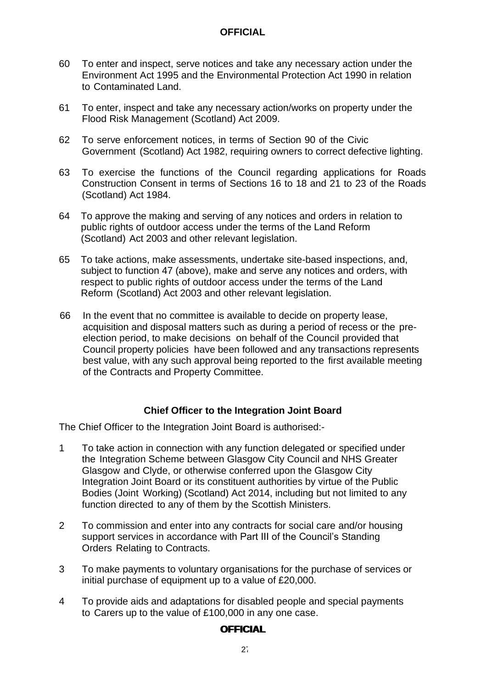- 60 To enter and inspect, serve notices and take any necessary action under the Environment Act 1995 and the Environmental Protection Act 1990 in relation to Contaminated Land.
- 61 To enter, inspect and take any necessary action/works on property under the Flood Risk Management (Scotland) Act 2009.
- 62 To serve enforcement notices, in terms of Section 90 of the Civic Government (Scotland) Act 1982, requiring owners to correct defective lighting.
- 63 To exercise the functions of the Council regarding applications for Roads Construction Consent in terms of Sections 16 to 18 and 21 to 23 of the Roads (Scotland) Act 1984.
- 64 To approve the making and serving of any notices and orders in relation to public rights of outdoor access under the terms of the Land Reform (Scotland) Act 2003 and other relevant legislation.
- 65 To take actions, make assessments, undertake site-based inspections, and, subject to function 47 (above), make and serve any notices and orders, with respect to public rights of outdoor access under the terms of the Land Reform (Scotland) Act 2003 and other relevant legislation.
- 66 In the event that no committee is available to decide on property lease, acquisition and disposal matters such as during a period of recess or the preelection period, to make decisions on behalf of the Council provided that Council property policies have been followed and any transactions represents best value, with any such approval being reported to the first available meeting of the Contracts and Property Committee.

#### **Chief Officer to the Integration Joint Board**

<span id="page-28-0"></span>The Chief Officer to the Integration Joint Board is authorised:-

- 1 To take action in connection with any function delegated or specified under the Integration Scheme between Glasgow City Council and NHS Greater Glasgow and Clyde, or otherwise conferred upon the Glasgow City Integration Joint Board or its constituent authorities by virtue of the Public Bodies (Joint Working) (Scotland) Act 2014, including but not limited to any function directed to any of them by the Scottish Ministers.
- 2 To commission and enter into any contracts for social care and/or housing support services in accordance with Part III of the Council's Standing Orders Relating to Contracts.
- 3 To make payments to voluntary organisations for the purchase of services or initial purchase of equipment up to a value of £20,000.
- 4 To provide aids and adaptations for disabled people and special payments to Carers up to the value of £100,000 in any one case.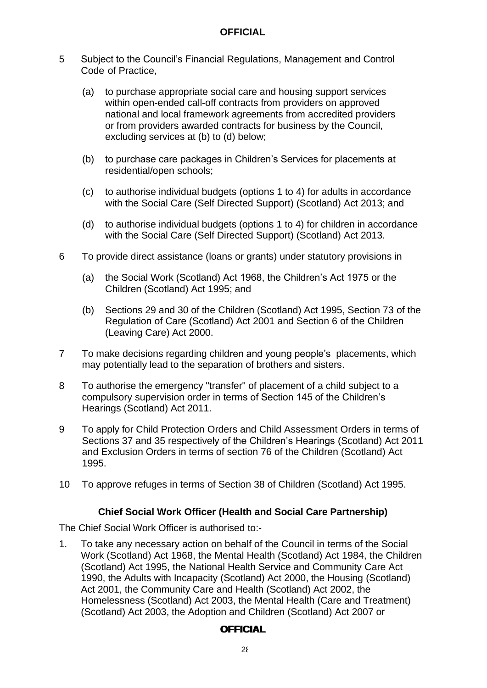- 5 Subject to the Council's Financial Regulations, Management and Control Code of Practice,
	- (a) to purchase appropriate social care and housing support services within open-ended call-off contracts from providers on approved national and local framework agreements from accredited providers or from providers awarded contracts for business by the Council, excluding services at (b) to (d) below;
	- (b) to purchase care packages in Children's Services for placements at residential/open schools;
	- (c) to authorise individual budgets (options 1 to 4) for adults in accordance with the Social Care (Self Directed Support) (Scotland) Act 2013; and
	- (d) to authorise individual budgets (options 1 to 4) for children in accordance with the Social Care (Self Directed Support) (Scotland) Act 2013.
- 6 To provide direct assistance (loans or grants) under statutory provisions in
	- (a) the Social Work (Scotland) Act 1968, the Children's Act 1975 or the Children (Scotland) Act 1995; and
	- (b) Sections 29 and 30 of the Children (Scotland) Act 1995, Section 73 of the Regulation of Care (Scotland) Act 2001 and Section 6 of the Children (Leaving Care) Act 2000.
- 7 To make decisions regarding children and young people's placements, which may potentially lead to the separation of brothers and sisters.
- 8 To authorise the emergency "transfer" of placement of a child subject to a compulsory supervision order in terms of Section 145 of the Children's Hearings (Scotland) Act 2011.
- 9 To apply for Child Protection Orders and Child Assessment Orders in terms of Sections 37 and 35 respectively of the Children's Hearings (Scotland) Act 2011 and Exclusion Orders in terms of section 76 of the Children (Scotland) Act 1995.
- 10 To approve refuges in terms of Section 38 of Children (Scotland) Act 1995.

#### **Chief Social Work Officer (Health and Social Care Partnership)**

<span id="page-29-0"></span>The Chief Social Work Officer is authorised to:-

1. To take any necessary action on behalf of the Council in terms of the Social Work (Scotland) Act 1968, the Mental Health (Scotland) Act 1984, the Children (Scotland) Act 1995, the National Health Service and Community Care Act 1990, the Adults with Incapacity (Scotland) Act 2000, the Housing (Scotland) Act 2001, the Community Care and Health (Scotland) Act 2002, the Homelessness (Scotland) Act 2003, the Mental Health (Care and Treatment) (Scotland) Act 2003, the Adoption and Children (Scotland) Act 2007 or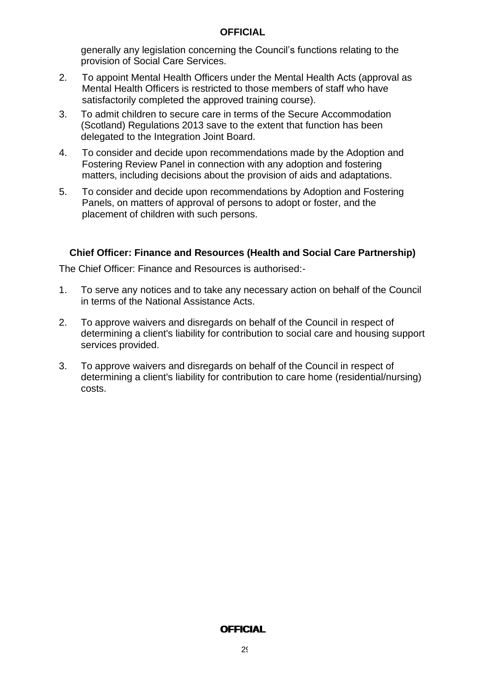generally any legislation concerning the Council's functions relating to the provision of Social Care Services.

- 2. To appoint Mental Health Officers under the Mental Health Acts (approval as Mental Health Officers is restricted to those members of staff who have satisfactorily completed the approved training course).
- 3. To admit children to secure care in terms of the Secure Accommodation (Scotland) Regulations 2013 save to the extent that function has been delegated to the Integration Joint Board.
- 4. To consider and decide upon recommendations made by the Adoption and Fostering Review Panel in connection with any adoption and fostering matters, including decisions about the provision of aids and adaptations.
- 5. To consider and decide upon recommendations by Adoption and Fostering Panels, on matters of approval of persons to adopt or foster, and the placement of children with such persons.

#### <span id="page-30-0"></span>**Chief Officer: Finance and Resources (Health and Social Care Partnership)**

The Chief Officer: Finance and Resources is authorised:-

- 1. To serve any notices and to take any necessary action on behalf of the Council in terms of the National Assistance Acts.
- 2. To approve waivers and disregards on behalf of the Council in respect of determining a client's liability for contribution to social care and housing support services provided.
- 3. To approve waivers and disregards on behalf of the Council in respect of determining a client's liability for contribution to care home (residential/nursing) costs.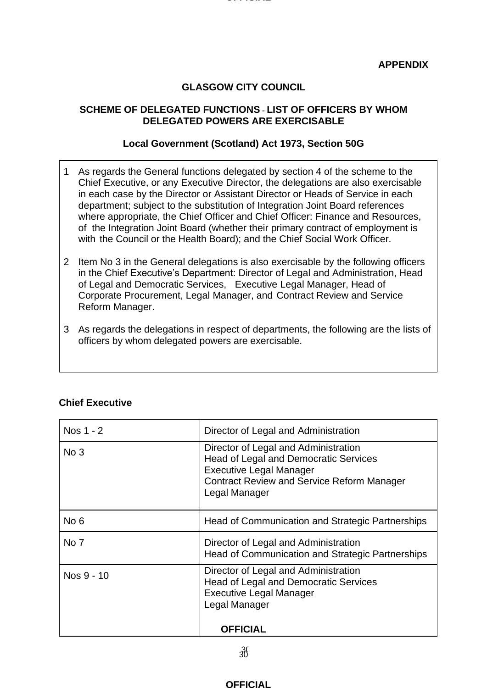#### **Definition**

#### **APPENDIX**

#### **GLASGOW CITY COUNCIL**

#### **SCHEME OF DELEGATED FUNCTIONS - LIST OF OFFICERS BY WHOM DELEGATED POWERS ARE EXERCISABLE**

#### **Local Government (Scotland) Act 1973, Section 50G**

- 1 As regards the General functions delegated by section 4 of the scheme to the Chief Executive, or any Executive Director, the delegations are also exercisable in each case by the Director or Assistant Director or Heads of Service in each department; subject to the substitution of Integration Joint Board references where appropriate, the Chief Officer and Chief Officer: Finance and Resources, of the Integration Joint Board (whether their primary contract of employment is with the Council or the Health Board); and the Chief Social Work Officer.
- 2 Item No 3 in the General delegations is also exercisable by the following officers in the Chief Executive's Department: Director of Legal and Administration, Head of Legal and Democratic Services, Executive Legal Manager, Head of Corporate Procurement, Legal Manager, and Contract Review and Service Reform Manager.
- 3 As regards the delegations in respect of departments, the following are the lists of officers by whom delegated powers are exercisable.

| Nos 1 - 2       | Director of Legal and Administration                                                                                                                                                         |
|-----------------|----------------------------------------------------------------------------------------------------------------------------------------------------------------------------------------------|
| No <sub>3</sub> | Director of Legal and Administration<br><b>Head of Legal and Democratic Services</b><br><b>Executive Legal Manager</b><br><b>Contract Review and Service Reform Manager</b><br>Legal Manager |
| No <sub>6</sub> | Head of Communication and Strategic Partnerships                                                                                                                                             |
| No 7            | Director of Legal and Administration<br>Head of Communication and Strategic Partnerships                                                                                                     |
| Nos 9 - 10      | Director of Legal and Administration<br><b>Head of Legal and Democratic Services</b><br><b>Executive Legal Manager</b><br>Legal Manager                                                      |
|                 | <b>OFFICIAL</b>                                                                                                                                                                              |

#### **Chief Executive**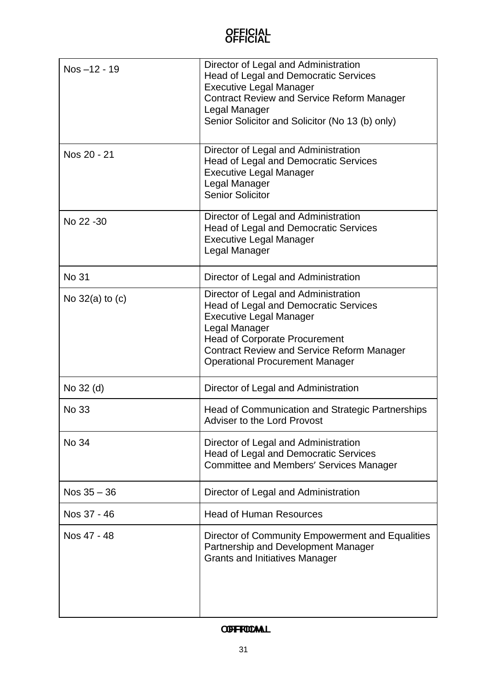| Nos-12 - 19         | Director of Legal and Administration<br>Head of Legal and Democratic Services<br><b>Executive Legal Manager</b><br><b>Contract Review and Service Reform Manager</b><br>Legal Manager<br>Senior Solicitor and Solicitor (No 13 (b) only)                                       |
|---------------------|--------------------------------------------------------------------------------------------------------------------------------------------------------------------------------------------------------------------------------------------------------------------------------|
| Nos 20 - 21         | Director of Legal and Administration<br><b>Head of Legal and Democratic Services</b><br><b>Executive Legal Manager</b><br>Legal Manager<br><b>Senior Solicitor</b>                                                                                                             |
| No 22 - 30          | Director of Legal and Administration<br><b>Head of Legal and Democratic Services</b><br><b>Executive Legal Manager</b><br>Legal Manager                                                                                                                                        |
| <b>No 31</b>        | Director of Legal and Administration                                                                                                                                                                                                                                           |
| No $32(a)$ to $(c)$ | Director of Legal and Administration<br><b>Head of Legal and Democratic Services</b><br><b>Executive Legal Manager</b><br>Legal Manager<br><b>Head of Corporate Procurement</b><br><b>Contract Review and Service Reform Manager</b><br><b>Operational Procurement Manager</b> |
| No 32 (d)           | Director of Legal and Administration                                                                                                                                                                                                                                           |
| No 33               | Head of Communication and Strategic Partnerships<br>Adviser to the Lord Provost                                                                                                                                                                                                |
| No 34               | Director of Legal and Administration<br><b>Head of Legal and Democratic Services</b><br><b>Committee and Members' Services Manager</b>                                                                                                                                         |
| Nos $35 - 36$       | Director of Legal and Administration                                                                                                                                                                                                                                           |
| Nos 37 - 46         | <b>Head of Human Resources</b>                                                                                                                                                                                                                                                 |
| Nos 47 - 48         | Director of Community Empowerment and Equalities<br>Partnership and Development Manager<br><b>Grants and Initiatives Manager</b>                                                                                                                                               |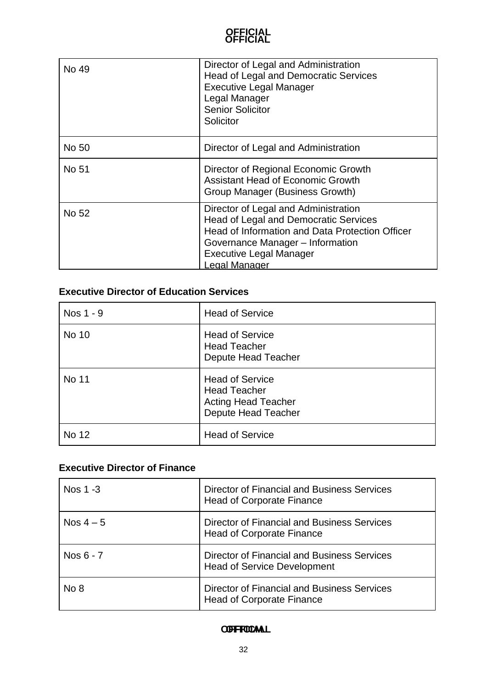| No 49 | Director of Legal and Administration<br>Head of Legal and Democratic Services<br><b>Executive Legal Manager</b><br>Legal Manager<br><b>Senior Solicitor</b><br>Solicitor                                                              |
|-------|---------------------------------------------------------------------------------------------------------------------------------------------------------------------------------------------------------------------------------------|
| No 50 | Director of Legal and Administration                                                                                                                                                                                                  |
| No 51 | Director of Regional Economic Growth<br><b>Assistant Head of Economic Growth</b><br>Group Manager (Business Growth)                                                                                                                   |
| No 52 | Director of Legal and Administration<br><b>Head of Legal and Democratic Services</b><br>Head of Information and Data Protection Officer<br>Governance Manager - Information<br><b>Executive Legal Manager</b><br><b>Legal Manager</b> |

### **Executive Director of Education Services**

| Nos 1 - 9 | <b>Head of Service</b>                                                                                    |
|-----------|-----------------------------------------------------------------------------------------------------------|
| No 10     | <b>Head of Service</b><br><b>Head Teacher</b><br>Depute Head Teacher                                      |
| No 11     | <b>Head of Service</b><br><b>Head Teacher</b><br><b>Acting Head Teacher</b><br><b>Depute Head Teacher</b> |
| No 12     | <b>Head of Service</b>                                                                                    |

### **Executive Director of Finance**

| Nos 1 -3    | Director of Financial and Business Services<br><b>Head of Corporate Finance</b>          |
|-------------|------------------------------------------------------------------------------------------|
| Nos $4-5$   | Director of Financial and Business Services<br><b>Head of Corporate Finance</b>          |
| Nos $6 - 7$ | <b>Director of Financial and Business Services</b><br><b>Head of Service Development</b> |
| No 8        | Director of Financial and Business Services<br><b>Head of Corporate Finance</b>          |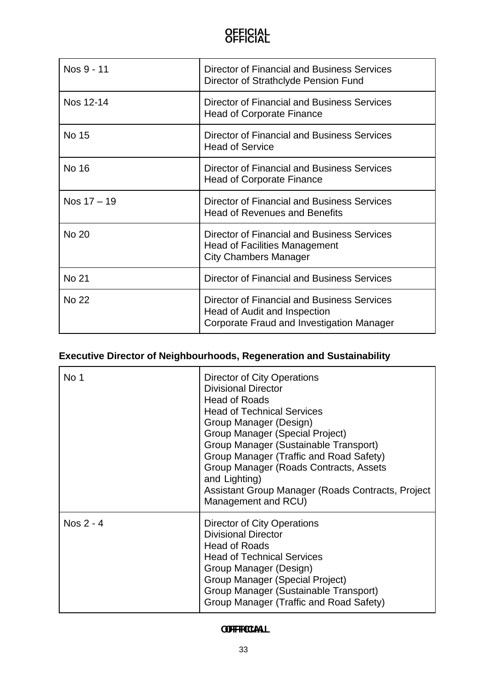| Nos 9 - 11    | Director of Financial and Business Services<br>Director of Strathclyde Pension Fund                                      |
|---------------|--------------------------------------------------------------------------------------------------------------------------|
| Nos 12-14     | Director of Financial and Business Services<br><b>Head of Corporate Finance</b>                                          |
| No 15         | Director of Financial and Business Services<br><b>Head of Service</b>                                                    |
| No 16         | Director of Financial and Business Services<br><b>Head of Corporate Finance</b>                                          |
| Nos $17 - 19$ | Director of Financial and Business Services<br><b>Head of Revenues and Benefits</b>                                      |
| <b>No 20</b>  | Director of Financial and Business Services<br><b>Head of Facilities Management</b><br><b>City Chambers Manager</b>      |
| No 21         | <b>Director of Financial and Business Services</b>                                                                       |
| <b>No 22</b>  | Director of Financial and Business Services<br>Head of Audit and Inspection<br>Corporate Fraud and Investigation Manager |

# **Executive Director of Neighbourhoods, Regeneration and Sustainability**

| No 1      | Director of City Operations<br><b>Divisional Director</b><br><b>Head of Roads</b><br><b>Head of Technical Services</b><br>Group Manager (Design)<br>Group Manager (Special Project)<br>Group Manager (Sustainable Transport)<br>Group Manager (Traffic and Road Safety)<br>Group Manager (Roads Contracts, Assets<br>and Lighting)<br>Assistant Group Manager (Roads Contracts, Project<br>Management and RCU) |
|-----------|----------------------------------------------------------------------------------------------------------------------------------------------------------------------------------------------------------------------------------------------------------------------------------------------------------------------------------------------------------------------------------------------------------------|
| Nos 2 - 4 | Director of City Operations<br><b>Divisional Director</b><br><b>Head of Roads</b><br><b>Head of Technical Services</b><br>Group Manager (Design)<br>Group Manager (Special Project)<br>Group Manager (Sustainable Transport)<br>Group Manager (Traffic and Road Safety)                                                                                                                                        |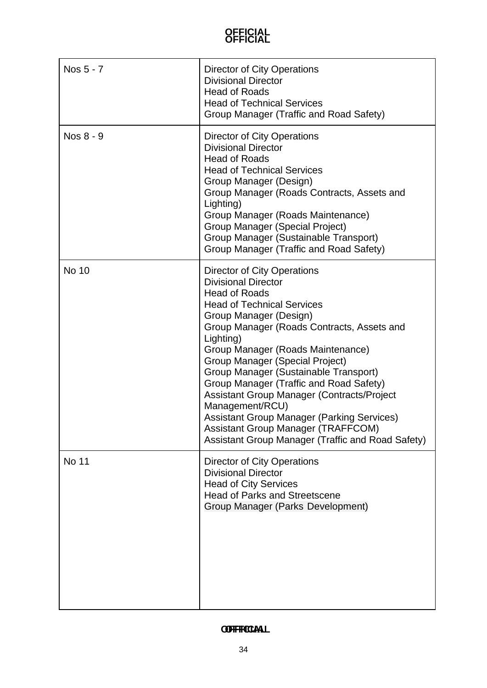| Nos 5 - 7    | Director of City Operations<br><b>Divisional Director</b><br><b>Head of Roads</b><br><b>Head of Technical Services</b><br>Group Manager (Traffic and Road Safety)                                                                                                                                                                                                                                                                                                                                                                                                                               |
|--------------|-------------------------------------------------------------------------------------------------------------------------------------------------------------------------------------------------------------------------------------------------------------------------------------------------------------------------------------------------------------------------------------------------------------------------------------------------------------------------------------------------------------------------------------------------------------------------------------------------|
| Nos 8 - 9    | Director of City Operations<br><b>Divisional Director</b><br><b>Head of Roads</b><br><b>Head of Technical Services</b><br>Group Manager (Design)<br>Group Manager (Roads Contracts, Assets and<br>Lighting)<br>Group Manager (Roads Maintenance)<br>Group Manager (Special Project)<br>Group Manager (Sustainable Transport)<br>Group Manager (Traffic and Road Safety)                                                                                                                                                                                                                         |
| <b>No 10</b> | Director of City Operations<br><b>Divisional Director</b><br><b>Head of Roads</b><br><b>Head of Technical Services</b><br>Group Manager (Design)<br>Group Manager (Roads Contracts, Assets and<br>Lighting)<br>Group Manager (Roads Maintenance)<br>Group Manager (Special Project)<br>Group Manager (Sustainable Transport)<br>Group Manager (Traffic and Road Safety)<br>Assistant Group Manager (Contracts/Project<br>Management/RCU)<br><b>Assistant Group Manager (Parking Services)</b><br><b>Assistant Group Manager (TRAFFCOM)</b><br>Assistant Group Manager (Traffic and Road Safety) |
| <b>No 11</b> | <b>Director of City Operations</b><br><b>Divisional Director</b><br><b>Head of City Services</b><br><b>Head of Parks and Streetscene</b><br>Group Manager (Parks Development)                                                                                                                                                                                                                                                                                                                                                                                                                   |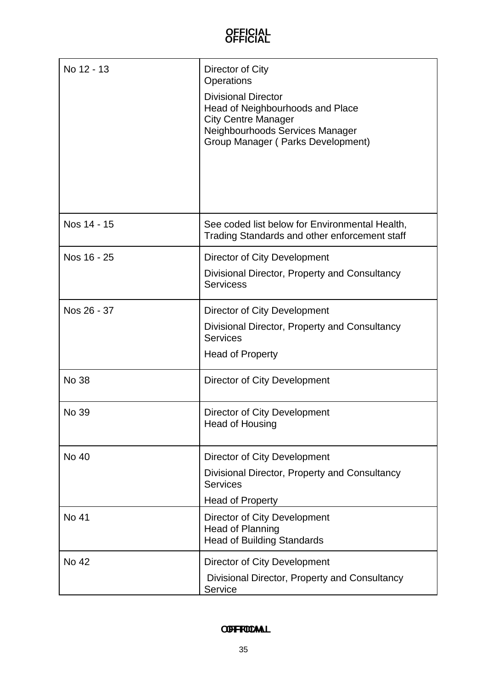| No 12 - 13   | Director of City<br>Operations<br><b>Divisional Director</b><br>Head of Neighbourhoods and Place<br><b>City Centre Manager</b><br>Neighbourhoods Services Manager<br>Group Manager (Parks Development) |
|--------------|--------------------------------------------------------------------------------------------------------------------------------------------------------------------------------------------------------|
| Nos 14 - 15  | See coded list below for Environmental Health,<br>Trading Standards and other enforcement staff                                                                                                        |
| Nos 16 - 25  | <b>Director of City Development</b>                                                                                                                                                                    |
|              | Divisional Director, Property and Consultancy<br><b>Servicess</b>                                                                                                                                      |
| Nos 26 - 37  | Director of City Development                                                                                                                                                                           |
|              | Divisional Director, Property and Consultancy<br><b>Services</b>                                                                                                                                       |
|              | <b>Head of Property</b>                                                                                                                                                                                |
| <b>No 38</b> | Director of City Development                                                                                                                                                                           |
| No 39        | Director of City Development<br><b>Head of Housing</b>                                                                                                                                                 |
| <b>No 40</b> | Director of City Development                                                                                                                                                                           |
|              | Divisional Director, Property and Consultancy<br><b>Services</b>                                                                                                                                       |
|              | <b>Head of Property</b>                                                                                                                                                                                |
| No 41        | Director of City Development<br><b>Head of Planning</b><br><b>Head of Building Standards</b>                                                                                                           |
| No 42        | Director of City Development                                                                                                                                                                           |
|              | Divisional Director, Property and Consultancy<br>Service                                                                                                                                               |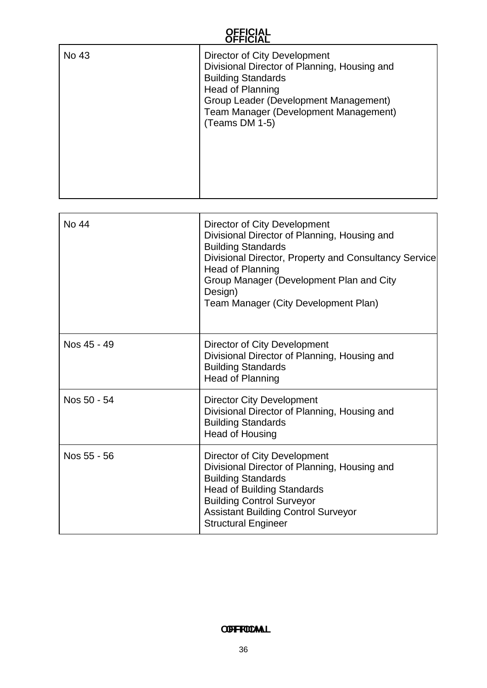| UFFIUIAL     |                                                                                                                                                                                                                                                                                       |
|--------------|---------------------------------------------------------------------------------------------------------------------------------------------------------------------------------------------------------------------------------------------------------------------------------------|
| No 43        | Director of City Development<br>Divisional Director of Planning, Housing and<br><b>Building Standards</b><br><b>Head of Planning</b><br>Group Leader (Development Management)<br><b>Team Manager (Development Management)</b><br>(Teams DM 1-5)                                       |
| <b>No 44</b> | Director of City Development<br>Divisional Director of Planning, Housing and<br><b>Building Standards</b><br>Divisional Director, Property and Consultancy Service<br>Head of Planning<br>Group Manager (Development Plan and City<br>Design)<br>Team Manager (City Development Plan) |
| Nos 45 - 49  | Director of City Development<br>Divisional Director of Planning, Housing and<br><b>Building Standards</b><br><b>Head of Planning</b>                                                                                                                                                  |
| Nos 50 - 54  | <b>Director City Development</b><br>Divisional Director of Planning, Housing and<br><b>Building Standards</b><br><b>Head of Housing</b>                                                                                                                                               |
| Nos 55 - 56  | Director of City Development<br>Divisional Director of Planning, Housing and<br><b>Building Standards</b><br><b>Head of Building Standards</b><br><b>Building Control Surveyor</b><br><b>Assistant Building Control Surveyor</b>                                                      |

#### **OFFICIAL OFFICIAL**

Structural Engineer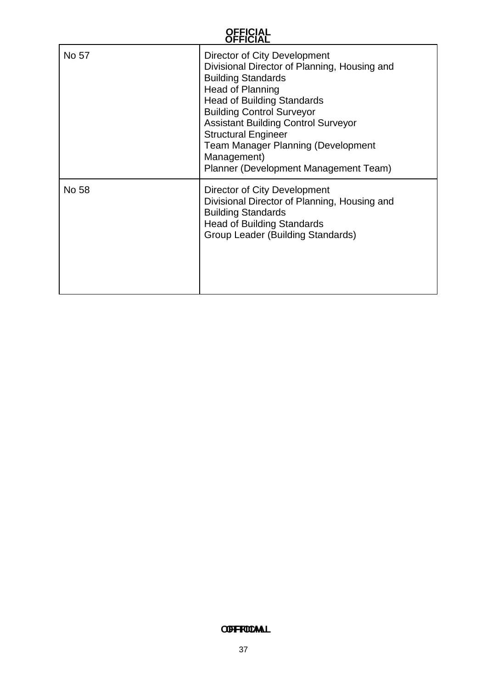| No 57 | Director of City Development<br>Divisional Director of Planning, Housing and<br><b>Building Standards</b><br>Head of Planning<br><b>Head of Building Standards</b><br><b>Building Control Surveyor</b><br><b>Assistant Building Control Surveyor</b><br><b>Structural Engineer</b><br><b>Team Manager Planning (Development</b><br>Management)<br>Planner (Development Management Team) |
|-------|-----------------------------------------------------------------------------------------------------------------------------------------------------------------------------------------------------------------------------------------------------------------------------------------------------------------------------------------------------------------------------------------|
| No 58 | Director of City Development<br>Divisional Director of Planning, Housing and<br><b>Building Standards</b><br><b>Head of Building Standards</b><br>Group Leader (Building Standards)                                                                                                                                                                                                     |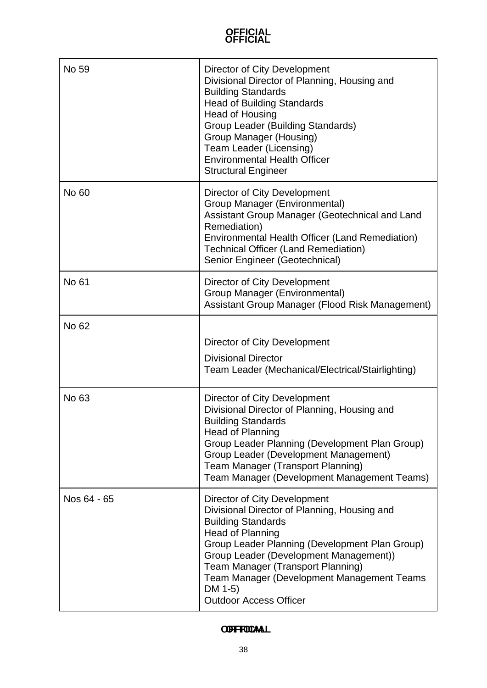| No 59       | Director of City Development<br>Divisional Director of Planning, Housing and<br><b>Building Standards</b><br><b>Head of Building Standards</b><br><b>Head of Housing</b><br>Group Leader (Building Standards)<br>Group Manager (Housing)<br>Team Leader (Licensing)<br><b>Environmental Health Officer</b><br><b>Structural Engineer</b>                                      |
|-------------|-------------------------------------------------------------------------------------------------------------------------------------------------------------------------------------------------------------------------------------------------------------------------------------------------------------------------------------------------------------------------------|
| No 60       | Director of City Development<br>Group Manager (Environmental)<br>Assistant Group Manager (Geotechnical and Land<br>Remediation)<br>Environmental Health Officer (Land Remediation)<br><b>Technical Officer (Land Remediation)</b><br>Senior Engineer (Geotechnical)                                                                                                           |
| No 61       | Director of City Development<br>Group Manager (Environmental)<br>Assistant Group Manager (Flood Risk Management)                                                                                                                                                                                                                                                              |
| No 62       | Director of City Development<br><b>Divisional Director</b><br>Team Leader (Mechanical/Electrical/Stairlighting)                                                                                                                                                                                                                                                               |
| No 63       | Director of City Development<br>Divisional Director of Planning, Housing and<br><b>Building Standards</b><br><b>Head of Planning</b><br>Group Leader Planning (Development Plan Group)<br>Group Leader (Development Management)<br><b>Team Manager (Transport Planning)</b><br>Team Manager (Development Management Teams)                                                    |
| Nos 64 - 65 | Director of City Development<br>Divisional Director of Planning, Housing and<br><b>Building Standards</b><br><b>Head of Planning</b><br>Group Leader Planning (Development Plan Group)<br>Group Leader (Development Management))<br><b>Team Manager (Transport Planning)</b><br><b>Team Manager (Development Management Teams</b><br>DM 1-5)<br><b>Outdoor Access Officer</b> |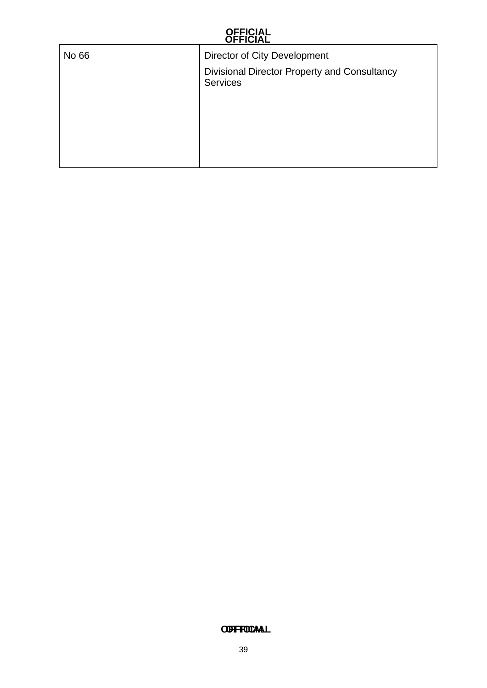| No 66 | <b>Director of City Development</b>                             |
|-------|-----------------------------------------------------------------|
|       | Divisional Director Property and Consultancy<br><b>Services</b> |
|       |                                                                 |
|       |                                                                 |
|       |                                                                 |
|       |                                                                 |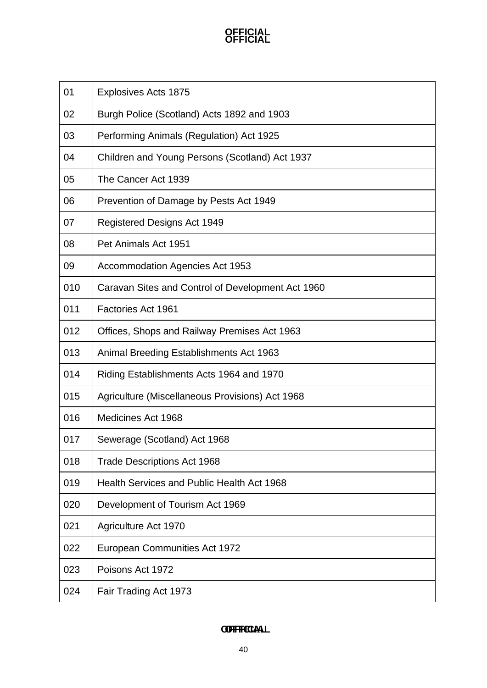| 01  | <b>Explosives Acts 1875</b>                       |
|-----|---------------------------------------------------|
| 02  | Burgh Police (Scotland) Acts 1892 and 1903        |
| 03  | Performing Animals (Regulation) Act 1925          |
| 04  | Children and Young Persons (Scotland) Act 1937    |
| 05  | The Cancer Act 1939                               |
| 06  | Prevention of Damage by Pests Act 1949            |
| 07  | Registered Designs Act 1949                       |
| 08  | Pet Animals Act 1951                              |
| 09  | <b>Accommodation Agencies Act 1953</b>            |
| 010 | Caravan Sites and Control of Development Act 1960 |
| 011 | Factories Act 1961                                |
| 012 | Offices, Shops and Railway Premises Act 1963      |
| 013 | Animal Breeding Establishments Act 1963           |
| 014 | Riding Establishments Acts 1964 and 1970          |
| 015 | Agriculture (Miscellaneous Provisions) Act 1968   |
| 016 | Medicines Act 1968                                |
| 017 | Sewerage (Scotland) Act 1968                      |
| 018 | <b>Trade Descriptions Act 1968</b>                |
| 019 | Health Services and Public Health Act 1968        |
| 020 | Development of Tourism Act 1969                   |
| 021 | <b>Agriculture Act 1970</b>                       |
| 022 | <b>European Communities Act 1972</b>              |
| 023 | Poisons Act 1972                                  |
| 024 | Fair Trading Act 1973                             |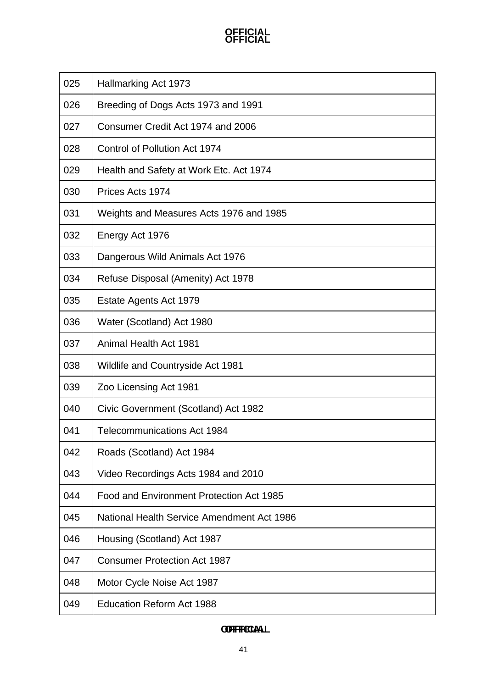| 025 | Hallmarking Act 1973                       |
|-----|--------------------------------------------|
| 026 | Breeding of Dogs Acts 1973 and 1991        |
| 027 | Consumer Credit Act 1974 and 2006          |
| 028 | Control of Pollution Act 1974              |
| 029 | Health and Safety at Work Etc. Act 1974    |
| 030 | Prices Acts 1974                           |
| 031 | Weights and Measures Acts 1976 and 1985    |
| 032 | Energy Act 1976                            |
| 033 | Dangerous Wild Animals Act 1976            |
| 034 | Refuse Disposal (Amenity) Act 1978         |
| 035 | Estate Agents Act 1979                     |
| 036 | Water (Scotland) Act 1980                  |
| 037 | Animal Health Act 1981                     |
| 038 | <b>Wildlife and Countryside Act 1981</b>   |
| 039 | Zoo Licensing Act 1981                     |
| 040 | Civic Government (Scotland) Act 1982       |
| 041 | <b>Telecommunications Act 1984</b>         |
| 042 | Roads (Scotland) Act 1984                  |
| 043 | Video Recordings Acts 1984 and 2010        |
| 044 | Food and Environment Protection Act 1985   |
| 045 | National Health Service Amendment Act 1986 |
| 046 | Housing (Scotland) Act 1987                |
| 047 | <b>Consumer Protection Act 1987</b>        |
| 048 | Motor Cycle Noise Act 1987                 |
| 049 | <b>Education Reform Act 1988</b>           |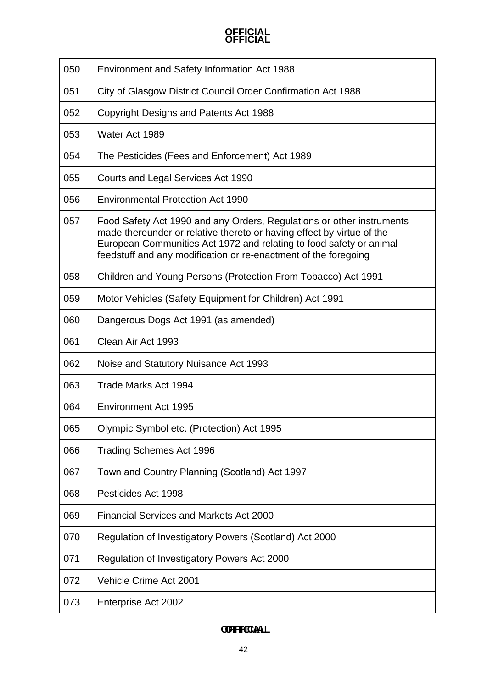| 050 | Environment and Safety Information Act 1988                                                                                                                                                                                                                                              |
|-----|------------------------------------------------------------------------------------------------------------------------------------------------------------------------------------------------------------------------------------------------------------------------------------------|
| 051 | City of Glasgow District Council Order Confirmation Act 1988                                                                                                                                                                                                                             |
| 052 | Copyright Designs and Patents Act 1988                                                                                                                                                                                                                                                   |
| 053 | Water Act 1989                                                                                                                                                                                                                                                                           |
| 054 | The Pesticides (Fees and Enforcement) Act 1989                                                                                                                                                                                                                                           |
| 055 | Courts and Legal Services Act 1990                                                                                                                                                                                                                                                       |
| 056 | <b>Environmental Protection Act 1990</b>                                                                                                                                                                                                                                                 |
| 057 | Food Safety Act 1990 and any Orders, Regulations or other instruments<br>made thereunder or relative thereto or having effect by virtue of the<br>European Communities Act 1972 and relating to food safety or animal<br>feedstuff and any modification or re-enactment of the foregoing |
| 058 | Children and Young Persons (Protection From Tobacco) Act 1991                                                                                                                                                                                                                            |
| 059 | Motor Vehicles (Safety Equipment for Children) Act 1991                                                                                                                                                                                                                                  |
| 060 | Dangerous Dogs Act 1991 (as amended)                                                                                                                                                                                                                                                     |
| 061 | Clean Air Act 1993                                                                                                                                                                                                                                                                       |
| 062 | Noise and Statutory Nuisance Act 1993                                                                                                                                                                                                                                                    |
| 063 | Trade Marks Act 1994                                                                                                                                                                                                                                                                     |
| 064 | <b>Environment Act 1995</b>                                                                                                                                                                                                                                                              |
| 065 | Olympic Symbol etc. (Protection) Act 1995                                                                                                                                                                                                                                                |
| 066 | <b>Trading Schemes Act 1996</b>                                                                                                                                                                                                                                                          |
| 067 | Town and Country Planning (Scotland) Act 1997                                                                                                                                                                                                                                            |
| 068 | Pesticides Act 1998                                                                                                                                                                                                                                                                      |
| 069 | <b>Financial Services and Markets Act 2000</b>                                                                                                                                                                                                                                           |
| 070 | Regulation of Investigatory Powers (Scotland) Act 2000                                                                                                                                                                                                                                   |
| 071 | Regulation of Investigatory Powers Act 2000                                                                                                                                                                                                                                              |
| 072 | Vehicle Crime Act 2001                                                                                                                                                                                                                                                                   |
| 073 | Enterprise Act 2002                                                                                                                                                                                                                                                                      |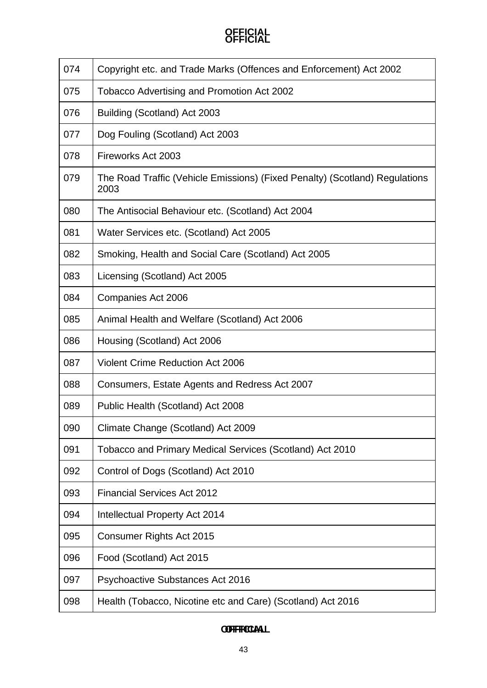| 074 | Copyright etc. and Trade Marks (Offences and Enforcement) Act 2002                  |
|-----|-------------------------------------------------------------------------------------|
| 075 | Tobacco Advertising and Promotion Act 2002                                          |
| 076 | Building (Scotland) Act 2003                                                        |
| 077 | Dog Fouling (Scotland) Act 2003                                                     |
| 078 | Fireworks Act 2003                                                                  |
| 079 | The Road Traffic (Vehicle Emissions) (Fixed Penalty) (Scotland) Regulations<br>2003 |
| 080 | The Antisocial Behaviour etc. (Scotland) Act 2004                                   |
| 081 | Water Services etc. (Scotland) Act 2005                                             |
| 082 | Smoking, Health and Social Care (Scotland) Act 2005                                 |
| 083 | Licensing (Scotland) Act 2005                                                       |
| 084 | Companies Act 2006                                                                  |
| 085 | Animal Health and Welfare (Scotland) Act 2006                                       |
| 086 | Housing (Scotland) Act 2006                                                         |
| 087 | <b>Violent Crime Reduction Act 2006</b>                                             |
| 088 | Consumers, Estate Agents and Redress Act 2007                                       |
| 089 | Public Health (Scotland) Act 2008                                                   |
| 090 | Climate Change (Scotland) Act 2009                                                  |
| 091 | Tobacco and Primary Medical Services (Scotland) Act 2010                            |
| 092 | Control of Dogs (Scotland) Act 2010                                                 |
| 093 | <b>Financial Services Act 2012</b>                                                  |
| 094 | Intellectual Property Act 2014                                                      |
| 095 | Consumer Rights Act 2015                                                            |
| 096 | Food (Scotland) Act 2015                                                            |
| 097 | Psychoactive Substances Act 2016                                                    |
| 098 | Health (Tobacco, Nicotine etc and Care) (Scotland) Act 2016                         |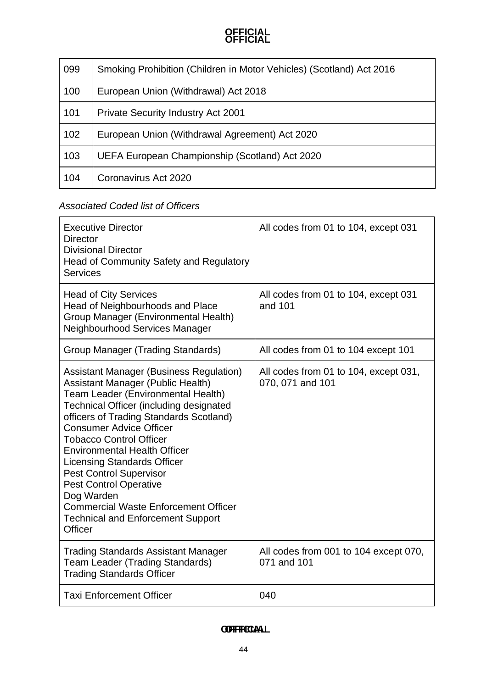| 099 | Smoking Prohibition (Children in Motor Vehicles) (Scotland) Act 2016 |
|-----|----------------------------------------------------------------------|
| 100 | European Union (Withdrawal) Act 2018                                 |
| 101 | <b>Private Security Industry Act 2001</b>                            |
| 102 | European Union (Withdrawal Agreement) Act 2020                       |
| 103 | UEFA European Championship (Scotland) Act 2020                       |
| 104 | Coronavirus Act 2020                                                 |

### *Associated Coded list of Officers*

| <b>Executive Director</b><br><b>Director</b><br><b>Divisional Director</b><br>Head of Community Safety and Regulatory<br><b>Services</b>                                                                                                                                                                                                                                                                                                                                                                                                                       | All codes from 01 to 104, except 031                      |
|----------------------------------------------------------------------------------------------------------------------------------------------------------------------------------------------------------------------------------------------------------------------------------------------------------------------------------------------------------------------------------------------------------------------------------------------------------------------------------------------------------------------------------------------------------------|-----------------------------------------------------------|
| <b>Head of City Services</b><br>Head of Neighbourhoods and Place<br>Group Manager (Environmental Health)<br>Neighbourhood Services Manager                                                                                                                                                                                                                                                                                                                                                                                                                     | All codes from 01 to 104, except 031<br>and 101           |
| Group Manager (Trading Standards)                                                                                                                                                                                                                                                                                                                                                                                                                                                                                                                              | All codes from 01 to 104 except 101                       |
| <b>Assistant Manager (Business Regulation)</b><br>Assistant Manager (Public Health)<br>Team Leader (Environmental Health)<br><b>Technical Officer (including designated</b><br>officers of Trading Standards Scotland)<br><b>Consumer Advice Officer</b><br><b>Tobacco Control Officer</b><br><b>Environmental Health Officer</b><br><b>Licensing Standards Officer</b><br><b>Pest Control Supervisor</b><br><b>Pest Control Operative</b><br>Dog Warden<br><b>Commercial Waste Enforcement Officer</b><br><b>Technical and Enforcement Support</b><br>Officer | All codes from 01 to 104, except 031,<br>070, 071 and 101 |
| <b>Trading Standards Assistant Manager</b><br><b>Team Leader (Trading Standards)</b><br><b>Trading Standards Officer</b>                                                                                                                                                                                                                                                                                                                                                                                                                                       | All codes from 001 to 104 except 070,<br>071 and 101      |
| <b>Taxi Enforcement Officer</b>                                                                                                                                                                                                                                                                                                                                                                                                                                                                                                                                | 040                                                       |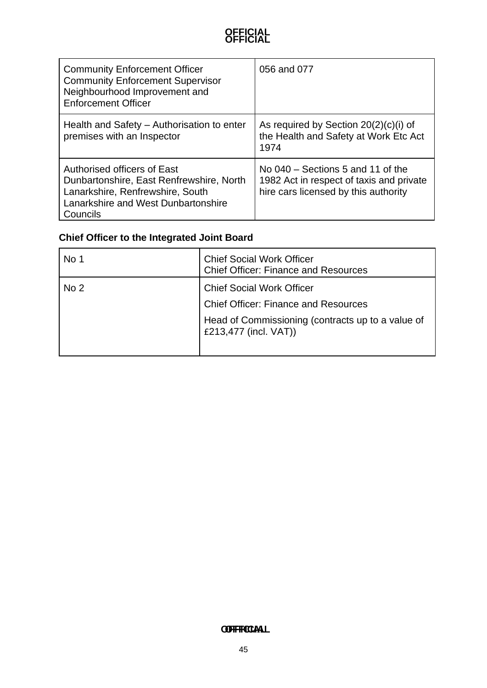| <b>Community Enforcement Officer</b><br><b>Community Enforcement Supervisor</b><br>Neighbourhood Improvement and<br><b>Enforcement Officer</b>                 | 056 and 077                                                                                                             |
|----------------------------------------------------------------------------------------------------------------------------------------------------------------|-------------------------------------------------------------------------------------------------------------------------|
| Health and Safety – Authorisation to enter<br>premises with an Inspector                                                                                       | As required by Section $20(2)(c)(i)$ of<br>the Health and Safety at Work Etc Act<br>1974                                |
| Authorised officers of East<br>Dunbartonshire, East Renfrewshire, North<br>Lanarkshire, Renfrewshire, South<br>Lanarkshire and West Dunbartonshire<br>Councils | No $040$ – Sections 5 and 11 of the<br>1982 Act in respect of taxis and private<br>hire cars licensed by this authority |

### **Chief Officer to the Integrated Joint Board**

| No 1            | <b>Chief Social Work Officer</b><br><b>Chief Officer: Finance and Resources</b>                                                                               |
|-----------------|---------------------------------------------------------------------------------------------------------------------------------------------------------------|
| No <sub>2</sub> | <b>Chief Social Work Officer</b><br><b>Chief Officer: Finance and Resources</b><br>Head of Commissioning (contracts up to a value of<br>£213,477 (incl. VAT)) |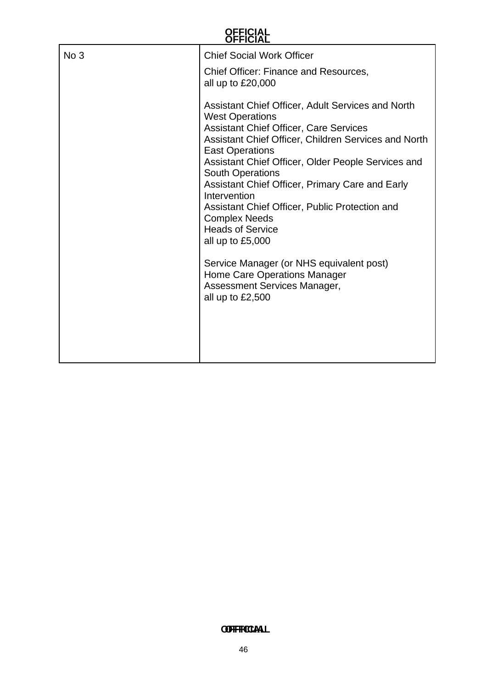| No 3 | <b>Chief Social Work Officer</b>                                                                                                                                                                                                                                                                                                                                                                                                                                                                                                                                                                                                |
|------|---------------------------------------------------------------------------------------------------------------------------------------------------------------------------------------------------------------------------------------------------------------------------------------------------------------------------------------------------------------------------------------------------------------------------------------------------------------------------------------------------------------------------------------------------------------------------------------------------------------------------------|
|      | Chief Officer: Finance and Resources,<br>all up to $£20,000$                                                                                                                                                                                                                                                                                                                                                                                                                                                                                                                                                                    |
|      | Assistant Chief Officer, Adult Services and North<br><b>West Operations</b><br><b>Assistant Chief Officer, Care Services</b><br>Assistant Chief Officer, Children Services and North<br><b>East Operations</b><br>Assistant Chief Officer, Older People Services and<br><b>South Operations</b><br>Assistant Chief Officer, Primary Care and Early<br>Intervention<br>Assistant Chief Officer, Public Protection and<br><b>Complex Needs</b><br><b>Heads of Service</b><br>all up to $£5,000$<br>Service Manager (or NHS equivalent post)<br>Home Care Operations Manager<br>Assessment Services Manager,<br>all up to $£2,500$ |
|      |                                                                                                                                                                                                                                                                                                                                                                                                                                                                                                                                                                                                                                 |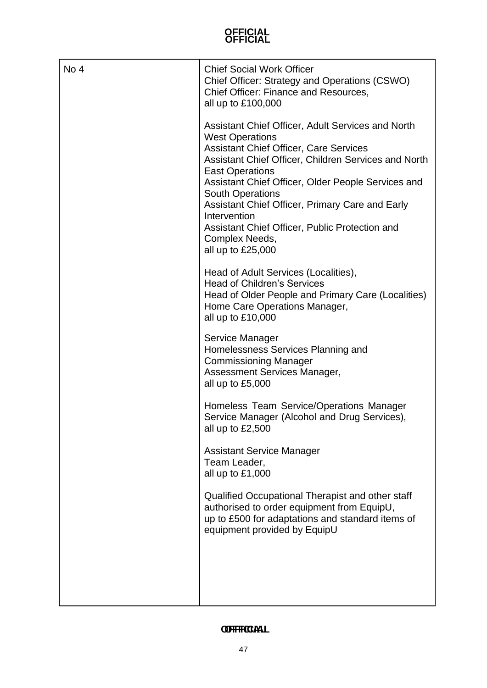| No 4 | <b>Chief Social Work Officer</b><br>Chief Officer: Strategy and Operations (CSWO)<br>Chief Officer: Finance and Resources,<br>all up to £100,000                                                                                                                                                                                                                                                                                                              |
|------|---------------------------------------------------------------------------------------------------------------------------------------------------------------------------------------------------------------------------------------------------------------------------------------------------------------------------------------------------------------------------------------------------------------------------------------------------------------|
|      | Assistant Chief Officer, Adult Services and North<br><b>West Operations</b><br><b>Assistant Chief Officer, Care Services</b><br>Assistant Chief Officer, Children Services and North<br><b>East Operations</b><br>Assistant Chief Officer, Older People Services and<br><b>South Operations</b><br>Assistant Chief Officer, Primary Care and Early<br>Intervention<br>Assistant Chief Officer, Public Protection and<br>Complex Needs,<br>all up to $£25,000$ |
|      | Head of Adult Services (Localities),<br><b>Head of Children's Services</b><br>Head of Older People and Primary Care (Localities)<br>Home Care Operations Manager,<br>all up to £10,000                                                                                                                                                                                                                                                                        |
|      | Service Manager<br>Homelessness Services Planning and<br><b>Commissioning Manager</b><br>Assessment Services Manager,<br>all up to $£5,000$                                                                                                                                                                                                                                                                                                                   |
|      | Homeless Team Service/Operations Manager<br>Service Manager (Alcohol and Drug Services),<br>all up to $£2,500$                                                                                                                                                                                                                                                                                                                                                |
|      | <b>Assistant Service Manager</b><br>Team Leader,<br>all up to £1,000                                                                                                                                                                                                                                                                                                                                                                                          |
|      | Qualified Occupational Therapist and other staff<br>authorised to order equipment from EquipU,<br>up to £500 for adaptations and standard items of<br>equipment provided by EquipU                                                                                                                                                                                                                                                                            |
|      |                                                                                                                                                                                                                                                                                                                                                                                                                                                               |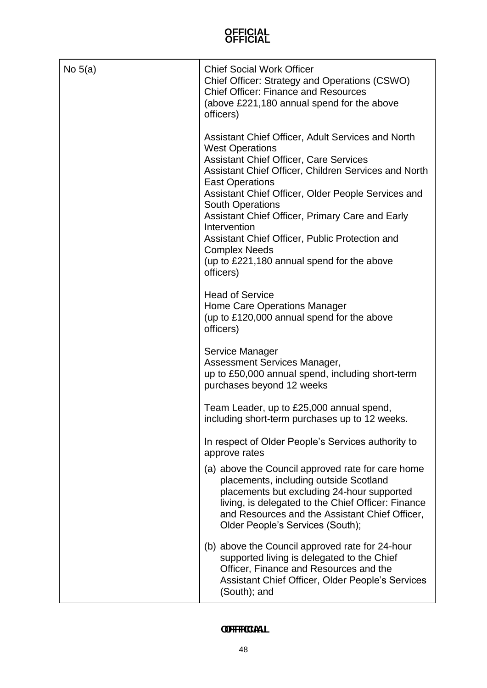| No $5(a)$ | <b>Chief Social Work Officer</b><br>Chief Officer: Strategy and Operations (CSWO)<br><b>Chief Officer: Finance and Resources</b><br>(above £221,180 annual spend for the above<br>officers)                                                                                                                                                                                                                                                                                                             |
|-----------|---------------------------------------------------------------------------------------------------------------------------------------------------------------------------------------------------------------------------------------------------------------------------------------------------------------------------------------------------------------------------------------------------------------------------------------------------------------------------------------------------------|
|           | Assistant Chief Officer, Adult Services and North<br><b>West Operations</b><br><b>Assistant Chief Officer, Care Services</b><br>Assistant Chief Officer, Children Services and North<br><b>East Operations</b><br>Assistant Chief Officer, Older People Services and<br><b>South Operations</b><br>Assistant Chief Officer, Primary Care and Early<br>Intervention<br>Assistant Chief Officer, Public Protection and<br><b>Complex Needs</b><br>(up to £221,180 annual spend for the above<br>officers) |
|           | <b>Head of Service</b><br>Home Care Operations Manager<br>(up to £120,000 annual spend for the above<br>officers)                                                                                                                                                                                                                                                                                                                                                                                       |
|           | Service Manager<br>Assessment Services Manager,<br>up to £50,000 annual spend, including short-term<br>purchases beyond 12 weeks                                                                                                                                                                                                                                                                                                                                                                        |
|           | Team Leader, up to £25,000 annual spend,<br>including short-term purchases up to 12 weeks.                                                                                                                                                                                                                                                                                                                                                                                                              |
|           | In respect of Older People's Services authority to<br>approve rates                                                                                                                                                                                                                                                                                                                                                                                                                                     |
|           | (a) above the Council approved rate for care home<br>placements, including outside Scotland<br>placements but excluding 24-hour supported<br>living, is delegated to the Chief Officer: Finance<br>and Resources and the Assistant Chief Officer,<br>Older People's Services (South);                                                                                                                                                                                                                   |
|           | (b) above the Council approved rate for 24-hour<br>supported living is delegated to the Chief<br>Officer, Finance and Resources and the<br>Assistant Chief Officer, Older People's Services<br>(South); and                                                                                                                                                                                                                                                                                             |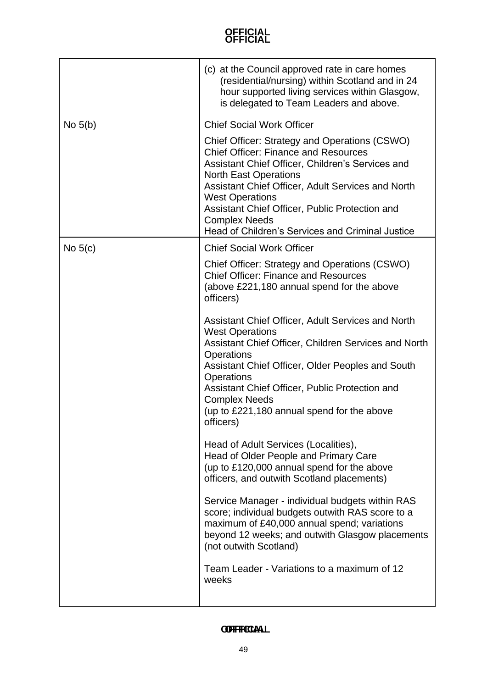|           | (c) at the Council approved rate in care homes<br>(residential/nursing) within Scotland and in 24<br>hour supported living services within Glasgow,<br>is delegated to Team Leaders and above.                                                                                                                                                                                                                                                                                                                                                                                                                                                                                                                                                                                         |
|-----------|----------------------------------------------------------------------------------------------------------------------------------------------------------------------------------------------------------------------------------------------------------------------------------------------------------------------------------------------------------------------------------------------------------------------------------------------------------------------------------------------------------------------------------------------------------------------------------------------------------------------------------------------------------------------------------------------------------------------------------------------------------------------------------------|
| No $5(b)$ | <b>Chief Social Work Officer</b>                                                                                                                                                                                                                                                                                                                                                                                                                                                                                                                                                                                                                                                                                                                                                       |
|           | Chief Officer: Strategy and Operations (CSWO)<br><b>Chief Officer: Finance and Resources</b><br>Assistant Chief Officer, Children's Services and<br><b>North East Operations</b><br>Assistant Chief Officer, Adult Services and North<br><b>West Operations</b><br>Assistant Chief Officer, Public Protection and<br><b>Complex Needs</b><br>Head of Children's Services and Criminal Justice                                                                                                                                                                                                                                                                                                                                                                                          |
| No $5(c)$ | <b>Chief Social Work Officer</b>                                                                                                                                                                                                                                                                                                                                                                                                                                                                                                                                                                                                                                                                                                                                                       |
|           | Chief Officer: Strategy and Operations (CSWO)<br><b>Chief Officer: Finance and Resources</b><br>(above £221,180 annual spend for the above<br>officers)                                                                                                                                                                                                                                                                                                                                                                                                                                                                                                                                                                                                                                |
|           | Assistant Chief Officer, Adult Services and North<br><b>West Operations</b><br>Assistant Chief Officer, Children Services and North<br><b>Operations</b><br>Assistant Chief Officer, Older Peoples and South<br><b>Operations</b><br>Assistant Chief Officer, Public Protection and<br><b>Complex Needs</b><br>(up to £221,180 annual spend for the above<br>officers)<br>Head of Adult Services (Localities),<br>Head of Older People and Primary Care<br>(up to £120,000 annual spend for the above<br>officers, and outwith Scotland placements)<br>Service Manager - individual budgets within RAS<br>score; individual budgets outwith RAS score to a<br>maximum of £40,000 annual spend; variations<br>beyond 12 weeks; and outwith Glasgow placements<br>(not outwith Scotland) |
|           | Team Leader - Variations to a maximum of 12<br>weeks                                                                                                                                                                                                                                                                                                                                                                                                                                                                                                                                                                                                                                                                                                                                   |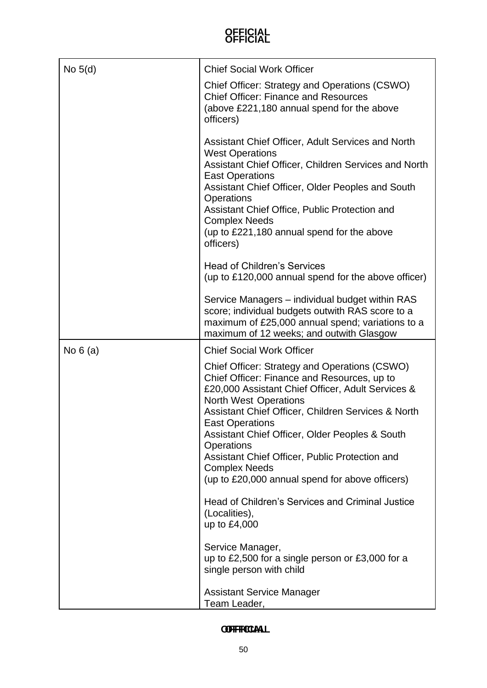| No $5(d)$ | <b>Chief Social Work Officer</b>                                                                                                                                                                                                                                                                                                                                                                                                                                      |
|-----------|-----------------------------------------------------------------------------------------------------------------------------------------------------------------------------------------------------------------------------------------------------------------------------------------------------------------------------------------------------------------------------------------------------------------------------------------------------------------------|
|           | Chief Officer: Strategy and Operations (CSWO)<br><b>Chief Officer: Finance and Resources</b><br>(above £221,180 annual spend for the above<br>officers)                                                                                                                                                                                                                                                                                                               |
|           | Assistant Chief Officer, Adult Services and North<br><b>West Operations</b><br>Assistant Chief Officer, Children Services and North<br><b>East Operations</b><br>Assistant Chief Officer, Older Peoples and South<br>Operations<br>Assistant Chief Office, Public Protection and<br><b>Complex Needs</b><br>(up to £221,180 annual spend for the above<br>officers)                                                                                                   |
|           | <b>Head of Children's Services</b><br>(up to £120,000 annual spend for the above officer)                                                                                                                                                                                                                                                                                                                                                                             |
|           | Service Managers – individual budget within RAS<br>score; individual budgets outwith RAS score to a<br>maximum of £25,000 annual spend; variations to a<br>maximum of 12 weeks; and outwith Glasgow                                                                                                                                                                                                                                                                   |
| No $6(a)$ | <b>Chief Social Work Officer</b>                                                                                                                                                                                                                                                                                                                                                                                                                                      |
|           | Chief Officer: Strategy and Operations (CSWO)<br>Chief Officer: Finance and Resources, up to<br>£20,000 Assistant Chief Officer, Adult Services &<br><b>North West Operations</b><br>Assistant Chief Officer, Children Services & North<br><b>East Operations</b><br>Assistant Chief Officer, Older Peoples & South<br><b>Operations</b><br>Assistant Chief Officer, Public Protection and<br><b>Complex Needs</b><br>(up to £20,000 annual spend for above officers) |
|           | Head of Children's Services and Criminal Justice<br>(Localities),<br>up to £4,000                                                                                                                                                                                                                                                                                                                                                                                     |
|           | Service Manager,<br>up to £2,500 for a single person or £3,000 for a<br>single person with child                                                                                                                                                                                                                                                                                                                                                                      |
|           |                                                                                                                                                                                                                                                                                                                                                                                                                                                                       |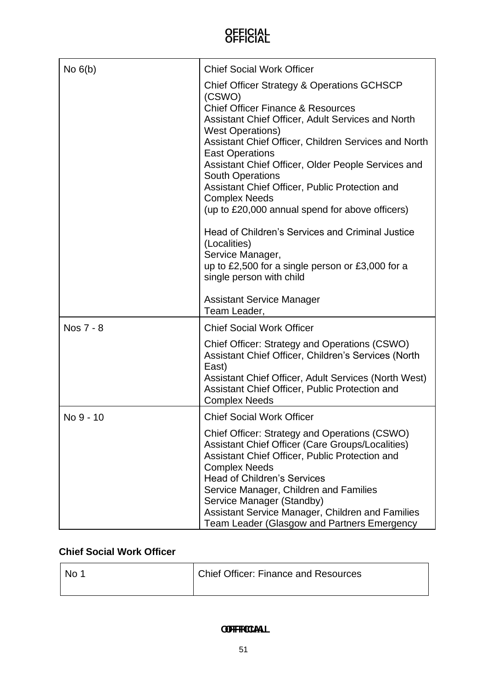| No $6(b)$ | <b>Chief Social Work Officer</b>                                                                                                                                                                                                                                                                                                                                                                                                                                                                                                                                                                                                                                        |
|-----------|-------------------------------------------------------------------------------------------------------------------------------------------------------------------------------------------------------------------------------------------------------------------------------------------------------------------------------------------------------------------------------------------------------------------------------------------------------------------------------------------------------------------------------------------------------------------------------------------------------------------------------------------------------------------------|
|           | <b>Chief Officer Strategy &amp; Operations GCHSCP</b><br>(CSWO)<br><b>Chief Officer Finance &amp; Resources</b><br>Assistant Chief Officer, Adult Services and North<br><b>West Operations)</b><br>Assistant Chief Officer, Children Services and North<br><b>East Operations</b><br>Assistant Chief Officer, Older People Services and<br><b>South Operations</b><br>Assistant Chief Officer, Public Protection and<br><b>Complex Needs</b><br>(up to £20,000 annual spend for above officers)<br>Head of Children's Services and Criminal Justice<br>(Localities)<br>Service Manager,<br>up to £2,500 for a single person or £3,000 for a<br>single person with child |
|           | <b>Assistant Service Manager</b><br>Team Leader,                                                                                                                                                                                                                                                                                                                                                                                                                                                                                                                                                                                                                        |
| Nos 7 - 8 | <b>Chief Social Work Officer</b>                                                                                                                                                                                                                                                                                                                                                                                                                                                                                                                                                                                                                                        |
|           | Chief Officer: Strategy and Operations (CSWO)<br>Assistant Chief Officer, Children's Services (North<br>East)<br>Assistant Chief Officer, Adult Services (North West)<br>Assistant Chief Officer, Public Protection and<br><b>Complex Needs</b>                                                                                                                                                                                                                                                                                                                                                                                                                         |
| No 9 - 10 | <b>Chief Social Work Officer</b>                                                                                                                                                                                                                                                                                                                                                                                                                                                                                                                                                                                                                                        |
|           | Chief Officer: Strategy and Operations (CSWO)<br>Assistant Chief Officer (Care Groups/Localities)<br>Assistant Chief Officer, Public Protection and<br><b>Complex Needs</b><br><b>Head of Children's Services</b><br>Service Manager, Children and Families<br>Service Manager (Standby)<br>Assistant Service Manager, Children and Families<br>Team Leader (Glasgow and Partners Emergency                                                                                                                                                                                                                                                                             |

### **Chief Social Work Officer**

| No 1 | Chief Officer: Finance and Resources |
|------|--------------------------------------|
|------|--------------------------------------|